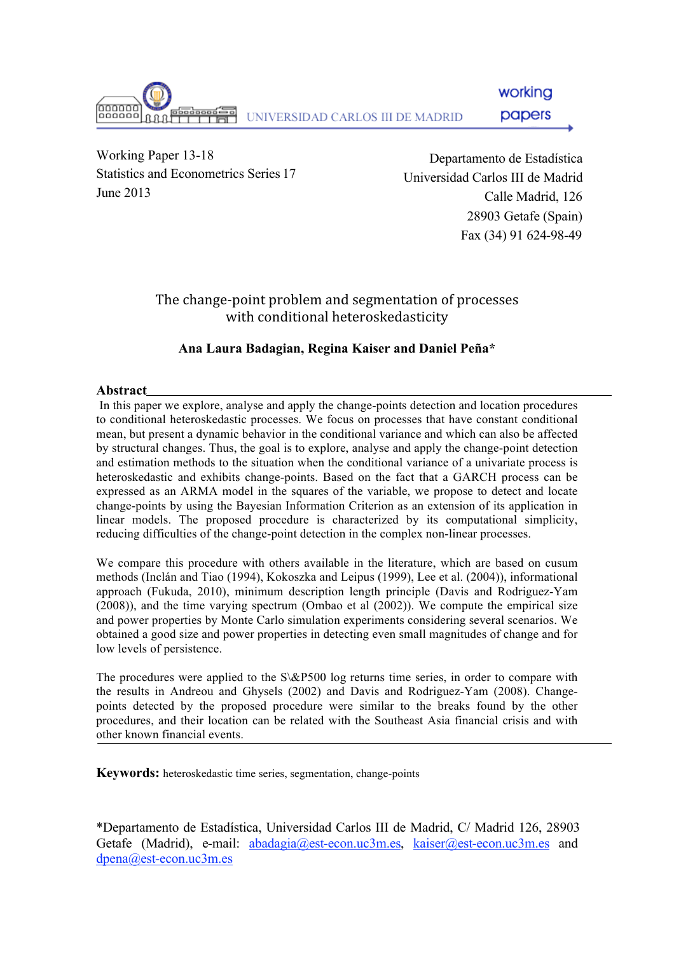

working

papers

Working Paper 13-18 Statistics and Econometrics Series 17 June 2013

Departamento de Estadística Universidad Carlos III de Madrid Calle Madrid, 126 28903 Getafe (Spain) Fax (34) 91 624-98-49

## The change-point problem and segmentation of processes with conditional heteroskedasticity

## **Ana Laura Badagian, Regina Kaiser and Daniel Peña\***

### **Abstract**

 In this paper we explore, analyse and apply the change-points detection and location procedures to conditional heteroskedastic processes. We focus on processes that have constant conditional mean, but present a dynamic behavior in the conditional variance and which can also be affected by structural changes. Thus, the goal is to explore, analyse and apply the change-point detection and estimation methods to the situation when the conditional variance of a univariate process is heteroskedastic and exhibits change-points. Based on the fact that a GARCH process can be expressed as an ARMA model in the squares of the variable, we propose to detect and locate change-points by using the Bayesian Information Criterion as an extension of its application in linear models. The proposed procedure is characterized by its computational simplicity, reducing difficulties of the change-point detection in the complex non-linear processes.

We compare this procedure with others available in the literature, which are based on cusum methods (Inclán and Tiao (1994), Kokoszka and Leipus (1999), Lee et al. (2004)), informational approach (Fukuda, 2010), minimum description length principle (Davis and Rodriguez-Yam (2008)), and the time varying spectrum (Ombao et al (2002)). We compute the empirical size and power properties by Monte Carlo simulation experiments considering several scenarios. We obtained a good size and power properties in detecting even small magnitudes of change and for low levels of persistence.

The procedures were applied to the S\&P500 log returns time series, in order to compare with the results in Andreou and Ghysels (2002) and Davis and Rodriguez-Yam (2008). Changepoints detected by the proposed procedure were similar to the breaks found by the other procedures, and their location can be related with the Southeast Asia financial crisis and with other known financial events.

**Keywords:** heteroskedastic time series, segmentation, change-points

\*Departamento de Estadística, Universidad Carlos III de Madrid, C/ Madrid 126, 28903 Getafe (Madrid), e-mail: abadagia@est-econ.uc3m.es, kaiser@est-econ.uc3m.es and dpena@est-econ.uc3m.es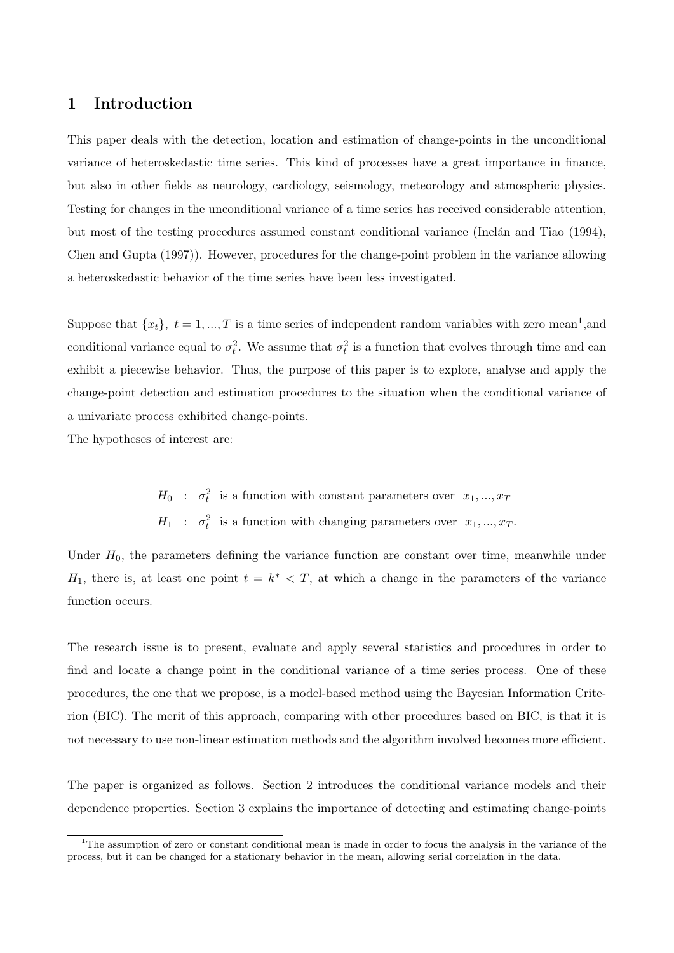## 1 Introduction

This paper deals with the detection, location and estimation of change-points in the unconditional variance of heteroskedastic time series. This kind of processes have a great importance in finance, but also in other fields as neurology, cardiology, seismology, meteorology and atmospheric physics. Testing for changes in the unconditional variance of a time series has received considerable attention, but most of the testing procedures assumed constant conditional variance (Inclán and Tiao (1994), Chen and Gupta (1997)). However, procedures for the change-point problem in the variance allowing a heteroskedastic behavior of the time series have been less investigated.

Suppose that  $\{x_t\}, t = 1, ..., T$  is a time series of independent random variables with zero mean<sup>1</sup>, and conditional variance equal to  $\sigma_t^2$ . We assume that  $\sigma_t^2$  is a function that evolves through time and can exhibit a piecewise behavior. Thus, the purpose of this paper is to explore, analyse and apply the change-point detection and estimation procedures to the situation when the conditional variance of a univariate process exhibited change-points.

The hypotheses of interest are:

 $H_0$ :  $\sigma_t^2$  is a function with constant parameters over  $x_1, ..., x_T$  $H_1$ :  $\sigma_t^2$  is a function with changing parameters over  $x_1, ..., x_T$ .

Under  $H_0$ , the parameters defining the variance function are constant over time, meanwhile under  $H_1$ , there is, at least one point  $t = k^* < T$ , at which a change in the parameters of the variance function occurs.

The research issue is to present, evaluate and apply several statistics and procedures in order to find and locate a change point in the conditional variance of a time series process. One of these procedures, the one that we propose, is a model-based method using the Bayesian Information Criterion (BIC). The merit of this approach, comparing with other procedures based on BIC, is that it is not necessary to use non-linear estimation methods and the algorithm involved becomes more efficient.

The paper is organized as follows. Section 2 introduces the conditional variance models and their dependence properties. Section 3 explains the importance of detecting and estimating change-points

<sup>&</sup>lt;sup>1</sup>The assumption of zero or constant conditional mean is made in order to focus the analysis in the variance of the process, but it can be changed for a stationary behavior in the mean, allowing serial correlation in the data.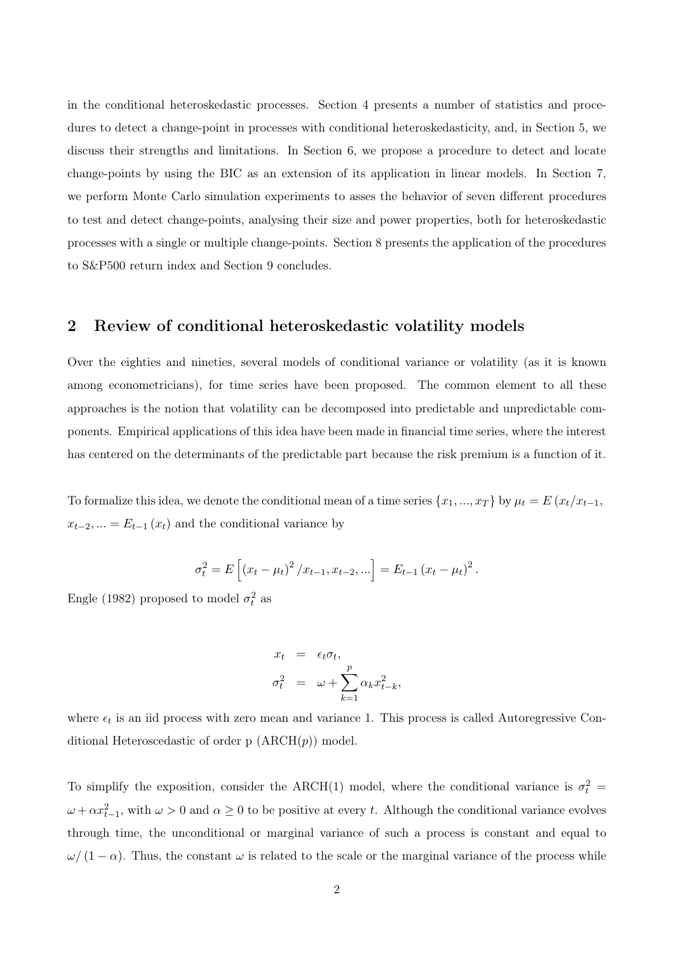in the conditional heteroskedastic processes. Section 4 presents a number of statistics and procedures to detect a change-point in processes with conditional heteroskedasticity, and, in Section 5, we discuss their strengths and limitations. In Section 6, we propose a procedure to detect and locate change-points by using the BIC as an extension of its application in linear models. In Section 7, we perform Monte Carlo simulation experiments to asses the behavior of seven different procedures to test and detect change-points, analysing their size and power properties, both for heteroskedastic processes with a single or multiple change-points. Section 8 presents the application of the procedures to S&P500 return index and Section 9 concludes.

### 2 Review of conditional heteroskedastic volatility models

Over the eighties and nineties, several models of conditional variance or volatility (as it is known among econometricians), for time series have been proposed. The common element to all these approaches is the notion that volatility can be decomposed into predictable and unpredictable components. Empirical applications of this idea have been made in financial time series, where the interest has centered on the determinants of the predictable part because the risk premium is a function of it.

To formalize this idea, we denote the conditional mean of a time series  $\{x_1, ..., x_T\}$  by  $\mu_t = E(x_t/x_{t-1}, \dots, x_T)$  $x_{t-2}, ... = E_{t-1}(x_t)$  and the conditional variance by

$$
\sigma_t^2 = E\left[ (x_t - \mu_t)^2 / x_{t-1}, x_{t-2}, ... \right] = E_{t-1} (x_t - \mu_t)^2.
$$

Engle (1982) proposed to model  $\sigma_t^2$  as

$$
x_t = \epsilon_t \sigma_t,
$$
  

$$
\sigma_t^2 = \omega + \sum_{k=1}^p \alpha_k x_{t-k}^2,
$$

where  $\epsilon_t$  is an iid process with zero mean and variance 1. This process is called Autoregressive Conditional Heteroscedastic of order p  $(ARCH(p))$  model.

To simplify the exposition, consider the ARCH(1) model, where the conditional variance is  $\sigma_t^2$  $\omega + \alpha x_{t-1}^2$ , with  $\omega > 0$  and  $\alpha \ge 0$  to be positive at every t. Although the conditional variance evolves through time, the unconditional or marginal variance of such a process is constant and equal to  $\omega/(1-\alpha)$ . Thus, the constant  $\omega$  is related to the scale or the marginal variance of the process while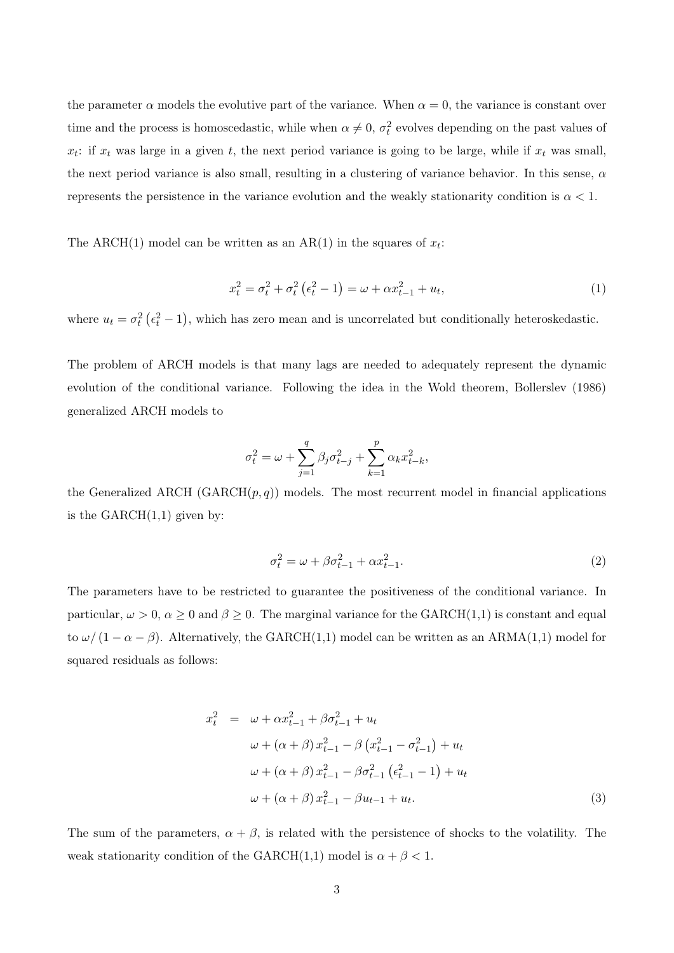the parameter  $\alpha$  models the evolutive part of the variance. When  $\alpha = 0$ , the variance is constant over time and the process is homoscedastic, while when  $\alpha \neq 0$ ,  $\sigma_t^2$  evolves depending on the past values of  $x_t$ : if  $x_t$  was large in a given t, the next period variance is going to be large, while if  $x_t$  was small, the next period variance is also small, resulting in a clustering of variance behavior. In this sense,  $\alpha$ represents the persistence in the variance evolution and the weakly stationarity condition is  $\alpha < 1$ .

The ARCH(1) model can be written as an AR(1) in the squares of  $x_t$ :

$$
x_t^2 = \sigma_t^2 + \sigma_t^2 \left( \epsilon_t^2 - 1 \right) = \omega + \alpha x_{t-1}^2 + u_t, \tag{1}
$$

where  $u_t = \sigma_t^2 \left( \epsilon_t^2 - 1 \right)$ , which has zero mean and is uncorrelated but conditionally heteroskedastic.

The problem of ARCH models is that many lags are needed to adequately represent the dynamic evolution of the conditional variance. Following the idea in the Wold theorem, Bollerslev (1986) generalized ARCH models to

$$
\sigma_t^2 = \omega + \sum_{j=1}^q \beta_j \sigma_{t-j}^2 + \sum_{k=1}^p \alpha_k x_{t-k}^2,
$$

the Generalized ARCH (GARCH $(p, q)$ ) models. The most recurrent model in financial applications is the  $GARCH(1,1)$  given by:

$$
\sigma_t^2 = \omega + \beta \sigma_{t-1}^2 + \alpha x_{t-1}^2. \tag{2}
$$

The parameters have to be restricted to guarantee the positiveness of the conditional variance. In particular,  $\omega > 0$ ,  $\alpha \ge 0$  and  $\beta \ge 0$ . The marginal variance for the GARCH(1,1) is constant and equal to  $\omega/(1-\alpha-\beta)$ . Alternatively, the GARCH(1,1) model can be written as an ARMA(1,1) model for squared residuals as follows:

$$
x_t^2 = \omega + \alpha x_{t-1}^2 + \beta \sigma_{t-1}^2 + u_t
$$
  
\n
$$
\omega + (\alpha + \beta) x_{t-1}^2 - \beta (x_{t-1}^2 - \sigma_{t-1}^2) + u_t
$$
  
\n
$$
\omega + (\alpha + \beta) x_{t-1}^2 - \beta \sigma_{t-1}^2 (\epsilon_{t-1}^2 - 1) + u_t
$$
  
\n
$$
\omega + (\alpha + \beta) x_{t-1}^2 - \beta u_{t-1} + u_t.
$$
\n(3)

The sum of the parameters,  $\alpha + \beta$ , is related with the persistence of shocks to the volatility. The weak stationarity condition of the GARCH(1,1) model is  $\alpha + \beta < 1$ .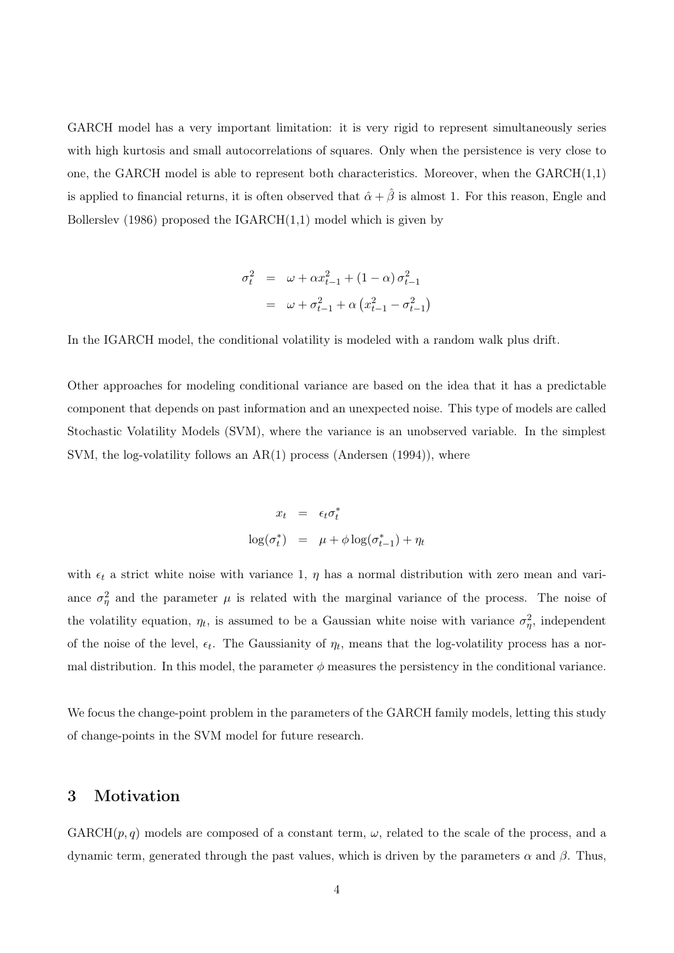GARCH model has a very important limitation: it is very rigid to represent simultaneously series with high kurtosis and small autocorrelations of squares. Only when the persistence is very close to one, the GARCH model is able to represent both characteristics. Moreover, when the  $GARCH(1,1)$ is applied to financial returns, it is often observed that  $\hat{\alpha} + \hat{\beta}$  is almost 1. For this reason, Engle and Bollerslev (1986) proposed the  $IGARCH(1,1)$  model which is given by

$$
\sigma_t^2 = \omega + \alpha x_{t-1}^2 + (1 - \alpha) \sigma_{t-1}^2
$$

$$
= \omega + \sigma_{t-1}^2 + \alpha \left( x_{t-1}^2 - \sigma_{t-1}^2 \right)
$$

In the IGARCH model, the conditional volatility is modeled with a random walk plus drift.

Other approaches for modeling conditional variance are based on the idea that it has a predictable component that depends on past information and an unexpected noise. This type of models are called Stochastic Volatility Models (SVM), where the variance is an unobserved variable. In the simplest SVM, the log-volatility follows an AR(1) process (Andersen (1994)), where

$$
x_t = \epsilon_t \sigma_t^*
$$
  

$$
\log(\sigma_t^*) = \mu + \phi \log(\sigma_{t-1}^*) + \eta_t
$$

with  $\epsilon_t$  a strict white noise with variance 1,  $\eta$  has a normal distribution with zero mean and variance  $\sigma_{\eta}^2$  and the parameter  $\mu$  is related with the marginal variance of the process. The noise of the volatility equation,  $\eta_t$ , is assumed to be a Gaussian white noise with variance  $\sigma_{\eta}^2$ , independent of the noise of the level,  $\epsilon_t$ . The Gaussianity of  $\eta_t$ , means that the log-volatility process has a normal distribution. In this model, the parameter  $\phi$  measures the persistency in the conditional variance.

We focus the change-point problem in the parameters of the GARCH family models, letting this study of change-points in the SVM model for future research.

## 3 Motivation

 $GARCH(p, q)$  models are composed of a constant term,  $\omega$ , related to the scale of the process, and a dynamic term, generated through the past values, which is driven by the parameters α and β. Thus,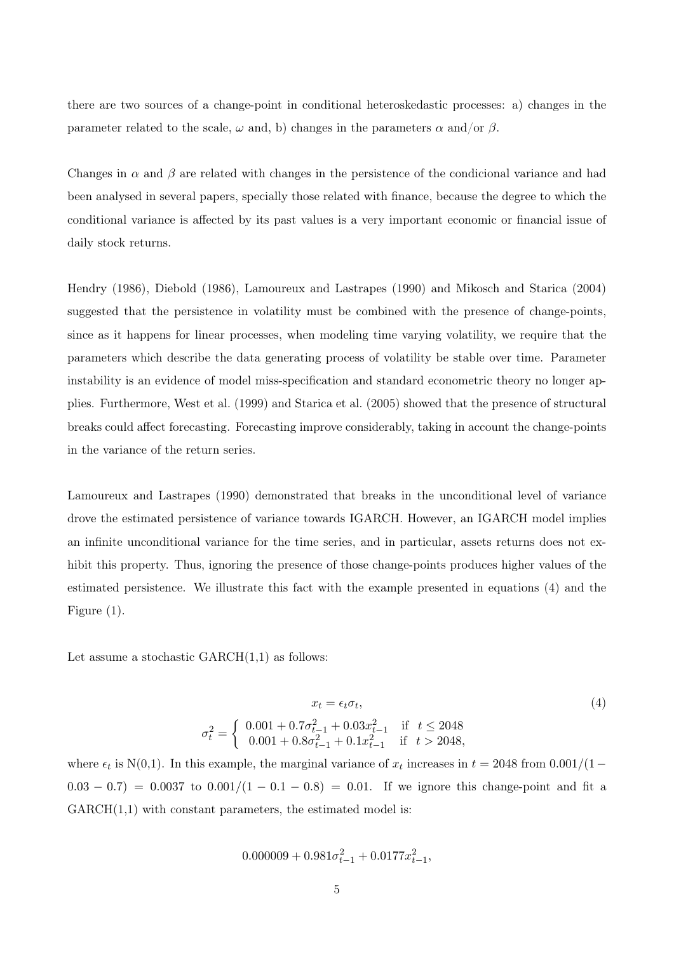there are two sources of a change-point in conditional heteroskedastic processes: a) changes in the parameter related to the scale,  $\omega$  and, b) changes in the parameters  $\alpha$  and/or  $\beta$ .

Changes in  $\alpha$  and  $\beta$  are related with changes in the persistence of the condicional variance and had been analysed in several papers, specially those related with finance, because the degree to which the conditional variance is affected by its past values is a very important economic or financial issue of daily stock returns.

Hendry (1986), Diebold (1986), Lamoureux and Lastrapes (1990) and Mikosch and Starica (2004) suggested that the persistence in volatility must be combined with the presence of change-points, since as it happens for linear processes, when modeling time varying volatility, we require that the parameters which describe the data generating process of volatility be stable over time. Parameter instability is an evidence of model miss-specification and standard econometric theory no longer applies. Furthermore, West et al. (1999) and Starica et al. (2005) showed that the presence of structural breaks could affect forecasting. Forecasting improve considerably, taking in account the change-points in the variance of the return series.

Lamoureux and Lastrapes (1990) demonstrated that breaks in the unconditional level of variance drove the estimated persistence of variance towards IGARCH. However, an IGARCH model implies an infinite unconditional variance for the time series, and in particular, assets returns does not exhibit this property. Thus, ignoring the presence of those change-points produces higher values of the estimated persistence. We illustrate this fact with the example presented in equations (4) and the Figure (1).

Let assume a stochastic  $GARCH(1,1)$  as follows:

$$
x_t = \epsilon_t \sigma_t,
$$
  
\n
$$
\sigma_t^2 = \begin{cases}\n0.001 + 0.7\sigma_{t-1}^2 + 0.03x_{t-1}^2 & \text{if } t \le 2048 \\
0.001 + 0.8\sigma_{t-1}^2 + 0.1x_{t-1}^2 & \text{if } t > 2048\n\end{cases}
$$
\n(4)

where  $\epsilon_t$  is N(0,1). In this example, the marginal variance of  $x_t$  increases in  $t = 2048$  from 0.001/(1–  $0.03 - 0.7$  = 0.0037 to  $0.001/(1 - 0.1 - 0.8) = 0.01$ . If we ignore this change-point and fit a  $GARCH(1,1)$  with constant parameters, the estimated model is:

$$
0.000009 + 0.981\sigma_{t-1}^2 + 0.0177x_{t-1}^2,
$$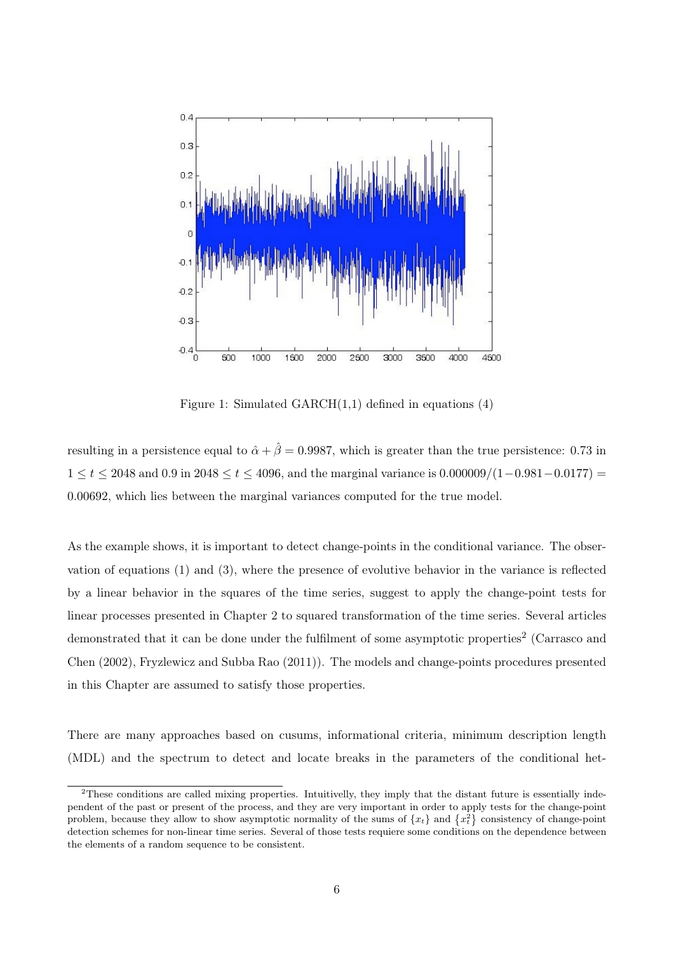

Figure 1: Simulated  $GARCH(1,1)$  defined in equations  $(4)$ 

resulting in a persistence equal to  $\hat{\alpha} + \hat{\beta} = 0.9987$ , which is greater than the true persistence: 0.73 in  $1 \le t \le 2048$  and 0.9 in 2048  $\le t \le 4096$ , and the marginal variance is  $0.000009/(1-0.981-0.0177)$  = 0.00692, which lies between the marginal variances computed for the true model.

As the example shows, it is important to detect change-points in the conditional variance. The observation of equations (1) and (3), where the presence of evolutive behavior in the variance is reflected by a linear behavior in the squares of the time series, suggest to apply the change-point tests for linear processes presented in Chapter 2 to squared transformation of the time series. Several articles demonstrated that it can be done under the fulfilment of some asymptotic properties<sup>2</sup> (Carrasco and Chen (2002), Fryzlewicz and Subba Rao (2011)). The models and change-points procedures presented in this Chapter are assumed to satisfy those properties.

There are many approaches based on cusums, informational criteria, minimum description length (MDL) and the spectrum to detect and locate breaks in the parameters of the conditional het-

<sup>&</sup>lt;sup>2</sup>These conditions are called mixing properties. Intuitivelly, they imply that the distant future is essentially independent of the past or present of the process, and they are very important in order to apply tests for the change-point problem, because they allow to show asymptotic normality of the sums of  $\{x_t\}$  and  $\{x_t^2\}$  consistency of change-point detection schemes for non-linear time series. Several of those tests requiere some conditions on the dependence between the elements of a random sequence to be consistent.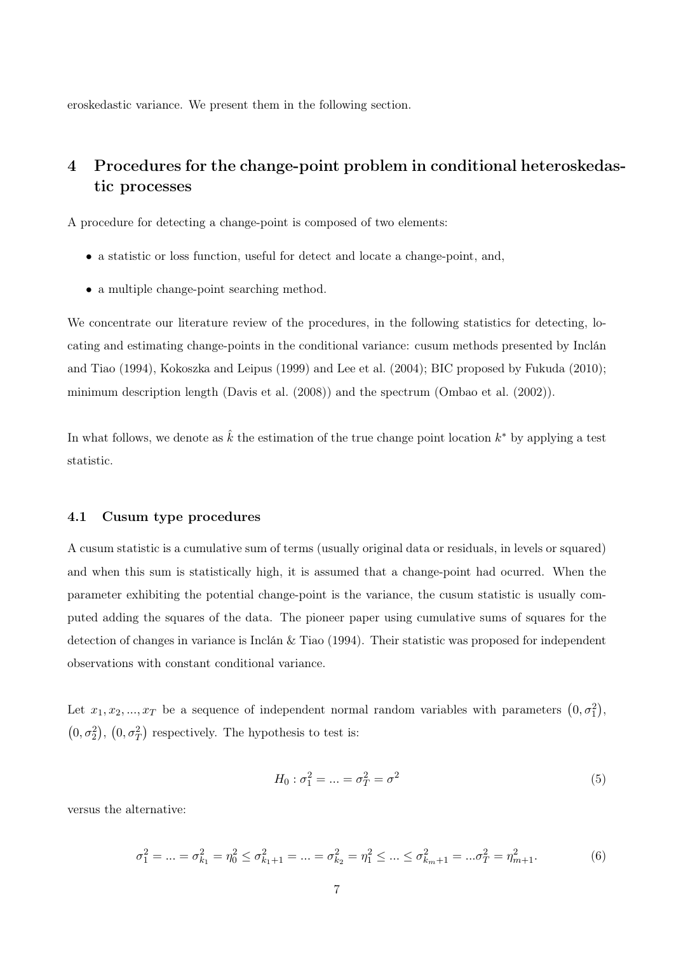eroskedastic variance. We present them in the following section.

# 4 Procedures for the change-point problem in conditional heteroskedastic processes

A procedure for detecting a change-point is composed of two elements:

- a statistic or loss function, useful for detect and locate a change-point, and,
- a multiple change-point searching method.

We concentrate our literature review of the procedures, in the following statistics for detecting, locating and estimating change-points in the conditional variance: cusum methods presented by Inclán and Tiao (1994), Kokoszka and Leipus (1999) and Lee et al. (2004); BIC proposed by Fukuda (2010); minimum description length (Davis et al. (2008)) and the spectrum (Ombao et al. (2002)).

In what follows, we denote as  $\hat{k}$  the estimation of the true change point location  $k^*$  by applying a test statistic.

#### 4.1 Cusum type procedures

A cusum statistic is a cumulative sum of terms (usually original data or residuals, in levels or squared) and when this sum is statistically high, it is assumed that a change-point had ocurred. When the parameter exhibiting the potential change-point is the variance, the cusum statistic is usually computed adding the squares of the data. The pioneer paper using cumulative sums of squares for the detection of changes in variance is Inclán & Tiao (1994). Their statistic was proposed for independent observations with constant conditional variance.

Let  $x_1, x_2, ..., x_T$  be a sequence of independent normal random variables with parameters  $(0, \sigma_1^2)$ ,  $(0, \sigma_2^2)$ ,  $(0, \sigma_T^2)$  respectively. The hypothesis to test is:

$$
H_0: \sigma_1^2 = \dots = \sigma_T^2 = \sigma^2 \tag{5}
$$

versus the alternative:

$$
\sigma_1^2 = \dots = \sigma_{k_1}^2 = \eta_0^2 \le \sigma_{k_1+1}^2 = \dots = \sigma_{k_2}^2 = \eta_1^2 \le \dots \le \sigma_{k_m+1}^2 = \dots = \sigma_T^2 = \eta_{m+1}^2. \tag{6}
$$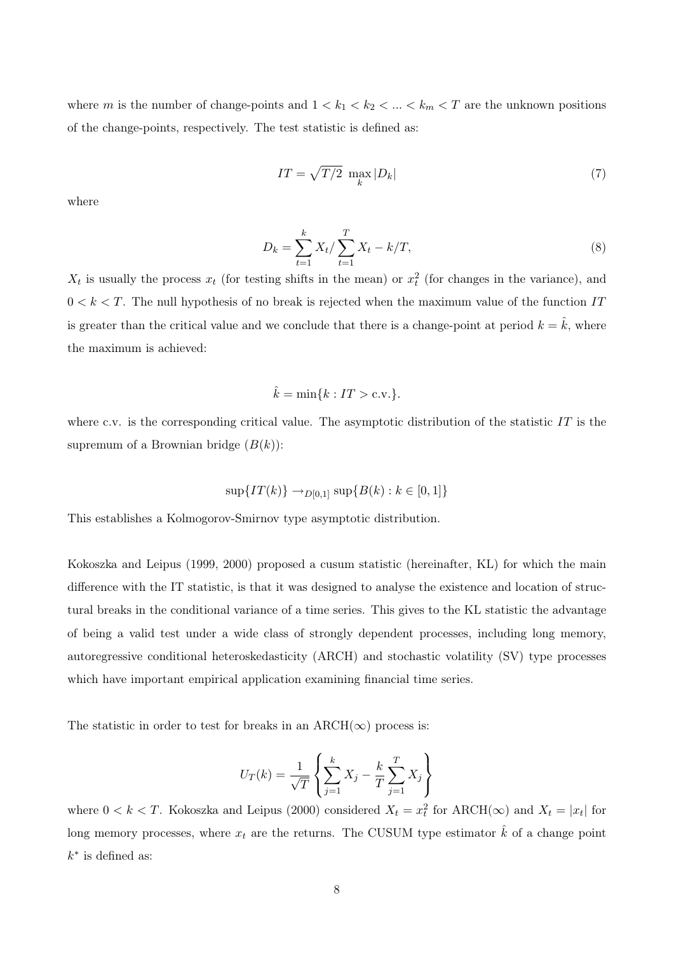where m is the number of change-points and  $1 < k_1 < k_2 < \ldots < k_m < T$  are the unknown positions of the change-points, respectively. The test statistic is defined as:

$$
IT = \sqrt{T/2} \max_{k} |D_k| \tag{7}
$$

where

$$
D_k = \sum_{t=1}^k X_t / \sum_{t=1}^T X_t - k/T,
$$
\n(8)

 $X_t$  is usually the process  $x_t$  (for testing shifts in the mean) or  $x_t^2$  (for changes in the variance), and  $0 < k < T$ . The null hypothesis of no break is rejected when the maximum value of the function IT is greater than the critical value and we conclude that there is a change-point at period  $k = \hat{k}$ , where the maximum is achieved:

$$
\hat{k} = \min\{k : IT > \text{c.v.}\}.
$$

where c.v. is the corresponding critical value. The asymptotic distribution of the statistic  $IT$  is the supremum of a Brownian bridge  $(B(k))$ :

$$
\sup\{IT(k)\}\to_{D[0,1]}\sup\{B(k):k\in[0,1]\}
$$

This establishes a Kolmogorov-Smirnov type asymptotic distribution.

Kokoszka and Leipus (1999, 2000) proposed a cusum statistic (hereinafter, KL) for which the main difference with the IT statistic, is that it was designed to analyse the existence and location of structural breaks in the conditional variance of a time series. This gives to the KL statistic the advantage of being a valid test under a wide class of strongly dependent processes, including long memory, autoregressive conditional heteroskedasticity (ARCH) and stochastic volatility (SV) type processes which have important empirical application examining financial time series.

The statistic in order to test for breaks in an ARCH( $\infty$ ) process is:

$$
U_T(k) = \frac{1}{\sqrt{T}} \left\{ \sum_{j=1}^{k} X_j - \frac{k}{T} \sum_{j=1}^{T} X_j \right\}
$$

where  $0 < k < T$ . Kokoszka and Leipus (2000) considered  $X_t = x_t^2$  for ARCH( $\infty$ ) and  $X_t = |x_t|$  for long memory processes, where  $x_t$  are the returns. The CUSUM type estimator  $\hat{k}$  of a change point  $k^*$  is defined as: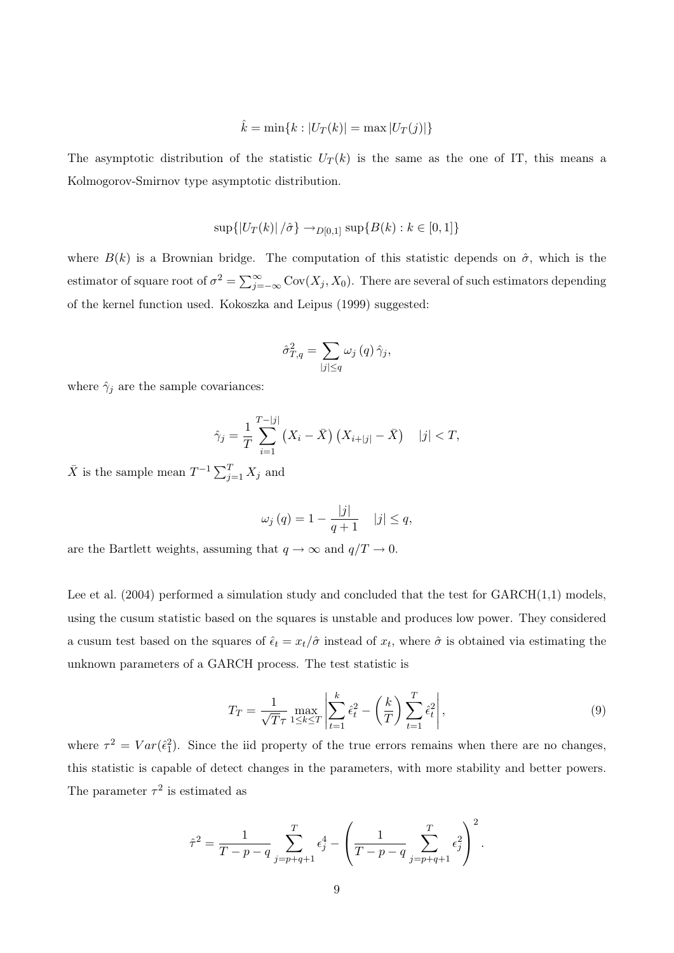$$
\hat{k} = \min\{k : |U_T(k)| = \max |U_T(j)|\}
$$

The asymptotic distribution of the statistic  $U_T(k)$  is the same as the one of IT, this means a Kolmogorov-Smirnov type asymptotic distribution.

$$
\sup\{|U_T(k)|/\hat{\sigma}\}\to_{D[0,1]}\sup\{B(k):k\in[0,1]\}
$$

where  $B(k)$  is a Brownian bridge. The computation of this statistic depends on  $\hat{\sigma}$ , which is the estimator of square root of  $\sigma^2 = \sum_{j=-\infty}^{\infty} Cov(X_j, X_0)$ . There are several of such estimators depending of the kernel function used. Kokoszka and Leipus (1999) suggested:

$$
\hat{\sigma}_{T,q}^{2} = \sum_{|j| \le q} \omega_j(q) \hat{\gamma}_j,
$$

where  $\hat{\gamma}_j$  are the sample covariances:

$$
\hat{\gamma}_j = \frac{1}{T} \sum_{i=1}^{T-|j|} (X_i - \bar{X}) (X_{i+|j|} - \bar{X}) \quad |j| < T,
$$

 $\bar{X}$  is the sample mean  $T^{-1} \sum_{j=1}^{T} X_j$  and

$$
\omega_j(q) = 1 - \frac{|j|}{q+1} \quad |j| \le q,
$$

are the Bartlett weights, assuming that  $q \to \infty$  and  $q/T \to 0$ .

Lee et al.  $(2004)$  performed a simulation study and concluded that the test for  $GARCH(1,1)$  models, using the cusum statistic based on the squares is unstable and produces low power. They considered a cusum test based on the squares of  $\hat{\epsilon}_t = x_t/\hat{\sigma}$  instead of  $x_t$ , where  $\hat{\sigma}$  is obtained via estimating the unknown parameters of a GARCH process. The test statistic is

$$
T_T = \frac{1}{\sqrt{T}\tau} \max_{1 \le k \le T} \left| \sum_{t=1}^k \hat{\epsilon}_t^2 - \left(\frac{k}{T}\right) \sum_{t=1}^T \hat{\epsilon}_t^2 \right|,
$$
\n(9)

where  $\tau^2 = Var(\hat{\epsilon}_1^2)$ . Since the iid property of the true errors remains when there are no changes, this statistic is capable of detect changes in the parameters, with more stability and better powers. The parameter  $\tau^2$  is estimated as

$$
\hat{\tau}^2 = \frac{1}{T - p - q} \sum_{j = p + q + 1}^{T} \epsilon_j^4 - \left(\frac{1}{T - p - q} \sum_{j = p + q + 1}^{T} \epsilon_j^2\right)^2.
$$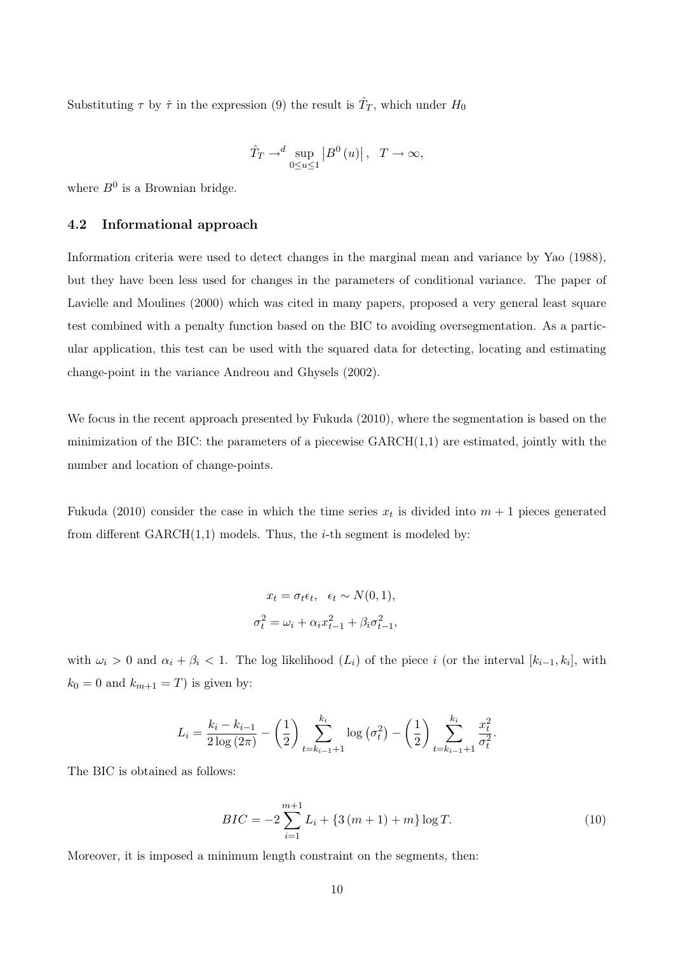Substituting  $\tau$  by  $\hat{\tau}$  in the expression (9) the result is  $\hat{T}_T$ , which under  $H_0$ 

$$
\hat{T}_T \to^{d} \sup_{0 \le u \le 1} \left| B^0(u) \right|, \quad T \to \infty,
$$

where  $B^0$  is a Brownian bridge.

#### 4.2 Informational approach

Information criteria were used to detect changes in the marginal mean and variance by Yao (1988), but they have been less used for changes in the parameters of conditional variance. The paper of Lavielle and Moulines (2000) which was cited in many papers, proposed a very general least square test combined with a penalty function based on the BIC to avoiding oversegmentation. As a particular application, this test can be used with the squared data for detecting, locating and estimating change-point in the variance Andreou and Ghysels (2002).

We focus in the recent approach presented by Fukuda (2010), where the segmentation is based on the minimization of the BIC: the parameters of a piecewise  $GARCH(1,1)$  are estimated, jointly with the number and location of change-points.

Fukuda (2010) consider the case in which the time series  $x_t$  is divided into  $m + 1$  pieces generated from different  $GARCH(1,1)$  models. Thus, the *i*-th segment is modeled by:

$$
x_t = \sigma_t \epsilon_t, \quad \epsilon_t \sim N(0, 1),
$$
  

$$
\sigma_t^2 = \omega_i + \alpha_i x_{t-1}^2 + \beta_i \sigma_{t-1}^2,
$$

with  $\omega_i > 0$  and  $\alpha_i + \beta_i < 1$ . The log likelihood  $(L_i)$  of the piece i (or the interval  $[k_{i-1}, k_i]$ , with  $k_0 = 0$  and  $k_{m+1} = T$ ) is given by:

$$
L_i = \frac{k_i - k_{i-1}}{2 \log (2\pi)} - \left(\frac{1}{2}\right) \sum_{t=k_{i-1}+1}^{k_i} \log \left(\sigma_t^2\right) - \left(\frac{1}{2}\right) \sum_{t=k_{i-1}+1}^{k_i} \frac{x_t^2}{\sigma_t^2}.
$$

The BIC is obtained as follows:

$$
BIC = -2\sum_{i=1}^{m+1} L_i + \{3(m+1) + m\} \log T.
$$
 (10)

Moreover, it is imposed a minimum length constraint on the segments, then: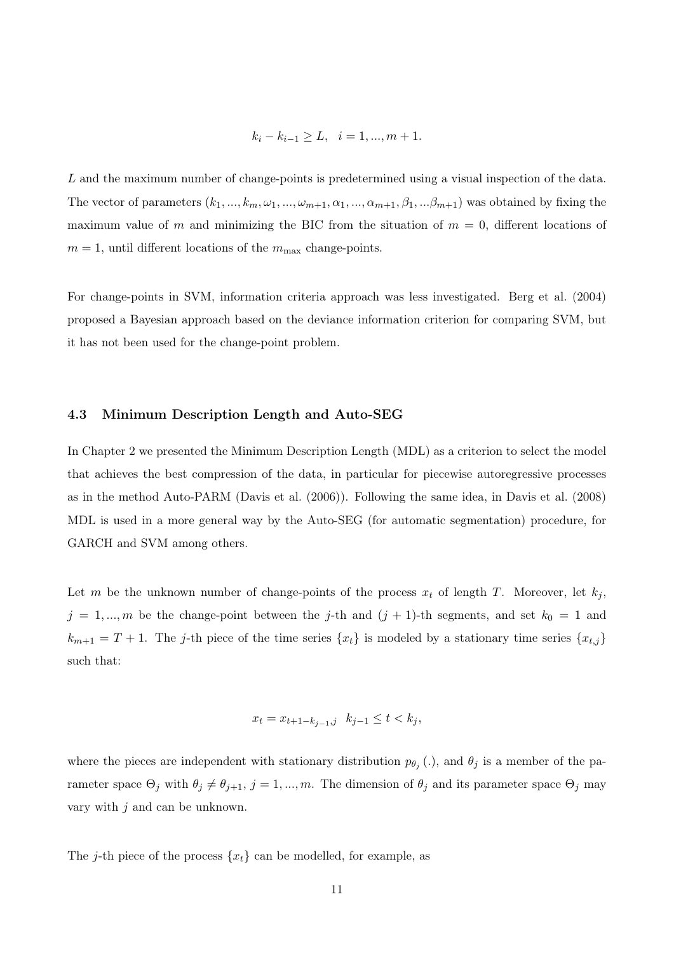$$
k_i - k_{i-1} \ge L, \quad i = 1, ..., m + 1.
$$

L and the maximum number of change-points is predetermined using a visual inspection of the data. The vector of parameters  $(k_1, ..., k_m, \omega_1, ..., \omega_{m+1}, \alpha_1, ..., \alpha_{m+1}, \beta_1, ..., \beta_{m+1})$  was obtained by fixing the maximum value of m and minimizing the BIC from the situation of  $m = 0$ , different locations of  $m = 1$ , until different locations of the  $m_{\text{max}}$  change-points.

For change-points in SVM, information criteria approach was less investigated. Berg et al. (2004) proposed a Bayesian approach based on the deviance information criterion for comparing SVM, but it has not been used for the change-point problem.

#### 4.3 Minimum Description Length and Auto-SEG

In Chapter 2 we presented the Minimum Description Length (MDL) as a criterion to select the model that achieves the best compression of the data, in particular for piecewise autoregressive processes as in the method Auto-PARM (Davis et al. (2006)). Following the same idea, in Davis et al. (2008) MDL is used in a more general way by the Auto-SEG (for automatic segmentation) procedure, for GARCH and SVM among others.

Let m be the unknown number of change-points of the process  $x_t$  of length T. Moreover, let  $k_j$ ,  $j = 1, ..., m$  be the change-point between the j-th and  $(j + 1)$ -th segments, and set  $k_0 = 1$  and  $k_{m+1} = T + 1$ . The j-th piece of the time series  $\{x_t\}$  is modeled by a stationary time series  $\{x_{t,j}\}$ such that:

$$
x_t = x_{t+1-k_{j-1},j} \quad k_{j-1} \le t < k_j,
$$

where the pieces are independent with stationary distribution  $p_{\theta_j}$  (.), and  $\theta_j$  is a member of the parameter space  $\Theta_j$  with  $\theta_j \neq \theta_{j+1}, j = 1, ..., m$ . The dimension of  $\theta_j$  and its parameter space  $\Theta_j$  may vary with  $j$  and can be unknown.

The j-th piece of the process  $\{x_t\}$  can be modelled, for example, as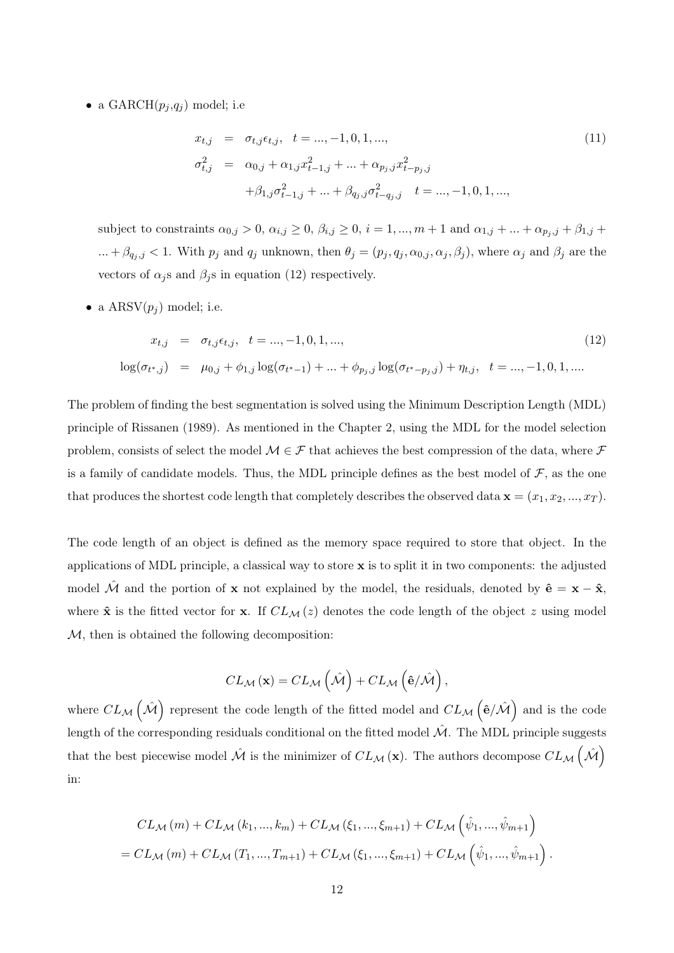• a GARCH $(p_i, q_i)$  model; i.e

$$
x_{t,j} = \sigma_{t,j} \epsilon_{t,j}, \quad t = ..., -1, 0, 1, ...,
$$
  
\n
$$
\sigma_{t,j}^2 = \alpha_{0,j} + \alpha_{1,j} x_{t-1,j}^2 + ... + \alpha_{p_j,j} x_{t-p_j,j}^2
$$
  
\n
$$
+ \beta_{1,j} \sigma_{t-1,j}^2 + ... + \beta_{q_j,j} \sigma_{t-q_j,j}^2 \quad t = ..., -1, 0, 1, ...,
$$
\n(11)

subject to constraints  $\alpha_{0,j} > 0$ ,  $\alpha_{i,j} \geq 0$ ,  $\beta_{i,j} \geq 0$ ,  $i = 1, ..., m + 1$  and  $\alpha_{1,j} + ... + \alpha_{p_j, j} + \beta_{1,j} + ...$ ... +  $\beta_{q_j,j}$  < 1. With  $p_j$  and  $q_j$  unknown, then  $\theta_j = (p_j, q_j, \alpha_{0,j}, \alpha_j, \beta_j)$ , where  $\alpha_j$  and  $\beta_j$  are the vectors of  $\alpha_i$ s and  $\beta_i$ s in equation (12) respectively.

• a  $\text{ARSV}(p_i)$  model; i.e.

$$
x_{t,j} = \sigma_{t,j} \epsilon_{t,j}, \quad t = ..., -1, 0, 1, ...,
$$
  
\n
$$
\log(\sigma_{t^*,j}) = \mu_{0,j} + \phi_{1,j} \log(\sigma_{t^*-1}) + ... + \phi_{p_j,j} \log(\sigma_{t^*-p_j,j}) + \eta_{t,j}, \quad t = ..., -1, 0, 1, ....
$$
\n(12)

The problem of finding the best segmentation is solved using the Minimum Description Length (MDL) principle of Rissanen (1989). As mentioned in the Chapter 2, using the MDL for the model selection problem, consists of select the model  $\mathcal{M} \in \mathcal{F}$  that achieves the best compression of the data, where  $\mathcal F$ is a family of candidate models. Thus, the MDL principle defines as the best model of  $\mathcal{F}$ , as the one that produces the shortest code length that completely describes the observed data  $\mathbf{x} = (x_1, x_2, ..., x_T)$ .

The code length of an object is defined as the memory space required to store that object. In the applications of MDL principle, a classical way to store  $x$  is to split it in two components: the adjusted model  $\hat{\mathcal{M}}$  and the portion of x not explained by the model, the residuals, denoted by  $\hat{\mathbf{e}} = \mathbf{x} - \hat{\mathbf{x}}$ , where  $\hat{\mathbf{x}}$  is the fitted vector for **x**. If  $CL_{\mathcal{M}}(z)$  denotes the code length of the object z using model M, then is obtained the following decomposition:

$$
CL_{\mathcal{M}}(\mathbf{x}) = CL_{\mathcal{M}}\left(\hat{\mathcal{M}}\right) + CL_{\mathcal{M}}\left(\hat{\mathbf{e}}/\hat{\mathcal{M}}\right),
$$

where  $CL_{\mathcal{M}}(\hat{\mathcal{M}})$  represent the code length of the fitted model and  $CL_{\mathcal{M}}(\hat{\mathbf{e}}/\hat{\mathcal{M}})$  and is the code length of the corresponding residuals conditional on the fitted model  $\mathcal{\hat{M}}$ . The MDL principle suggests that the best piecewise model  $\hat{M}$  is the minimizer of  $CL_{\mathcal{M}}(\mathbf{x})$ . The authors decompose  $CL_{\mathcal{M}}(\hat{M})$ in:

$$
CL_{\mathcal{M}}(m) + CL_{\mathcal{M}}(k_1, ..., k_m) + CL_{\mathcal{M}}(\xi_1, ..., \xi_{m+1}) + CL_{\mathcal{M}}(\hat{\psi}_1, ..., \hat{\psi}_{m+1})
$$
  
= CL\_{\mathcal{M}}(m) + CL\_{\mathcal{M}}(T\_1, ..., T\_{m+1}) + CL\_{\mathcal{M}}(\xi\_1, ..., \xi\_{m+1}) + CL\_{\mathcal{M}}(\hat{\psi}\_1, ..., \hat{\psi}\_{m+1}).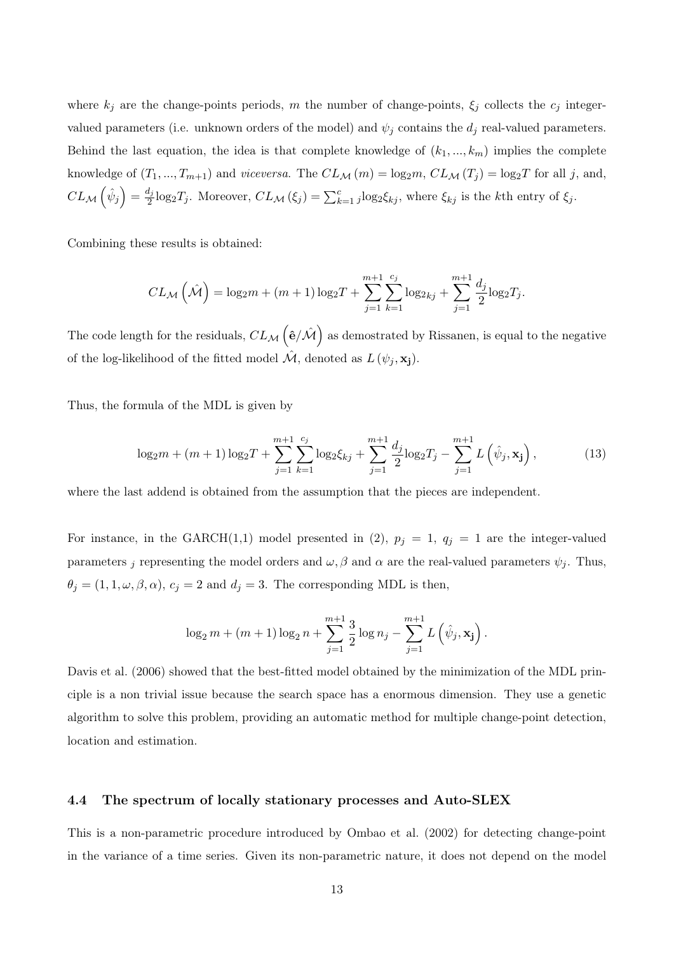where  $k_j$  are the change-points periods, m the number of change-points,  $\xi_j$  collects the  $c_j$  integervalued parameters (i.e. unknown orders of the model) and  $\psi_j$  contains the  $d_j$  real-valued parameters. Behind the last equation, the idea is that complete knowledge of  $(k_1, ..., k_m)$  implies the complete knowledge of  $(T_1, ..., T_{m+1})$  and *viceversa*. The  $CL_{\mathcal{M}}(m) = \log_2 m$ ,  $CL_{\mathcal{M}}(T_j) = \log_2 T$  for all j, and,  $CL_{\mathcal{M}}\left(\hat{\psi}_j\right) = \frac{d_j}{2} \log_2 T_j$ . Moreover,  $CL_{\mathcal{M}}\left(\xi_j\right) = \sum_{k=1}^c j \log_2 \xi_{kj}$ , where  $\xi_{kj}$  is the kth entry of  $\xi_j$ .

Combining these results is obtained:

$$
CL_{\mathcal{M}}\left(\hat{\mathcal{M}}\right) = \log_2 m + (m+1)\log_2 T + \sum_{j=1}^{m+1} \sum_{k=1}^{c_j} \log_{2kj} + \sum_{j=1}^{m+1} \frac{d_j}{2} \log_2 T_j.
$$

The code length for the residuals,  $CL_{\mathcal{M}}(\hat{\mathsf{e}}/\hat{\mathcal{M}})$  as demostrated by Rissanen, is equal to the negative of the log-likelihood of the fitted model  $\mathcal{M}$ , denoted as  $L(\psi_j, \mathbf{x_j})$ .

Thus, the formula of the MDL is given by

$$
\log_2 m + (m+1)\log_2 T + \sum_{j=1}^{m+1} \sum_{k=1}^{c_j} \log_2 \xi_{kj} + \sum_{j=1}^{m+1} \frac{d_j}{2} \log_2 T_j - \sum_{j=1}^{m+1} L\left(\hat{\psi}_j, \mathbf{x}_j\right),\tag{13}
$$

where the last addend is obtained from the assumption that the pieces are independent.

For instance, in the GARCH(1,1) model presented in (2),  $p_j = 1$ ,  $q_j = 1$  are the integer-valued parameters j representing the model orders and  $\omega$ ,  $\beta$  and  $\alpha$  are the real-valued parameters  $\psi_j$ . Thus,  $\theta_j = (1, 1, \omega, \beta, \alpha)$ ,  $c_j = 2$  and  $d_j = 3$ . The corresponding MDL is then,

$$
\log_2 m + (m+1)\log_2 n + \sum_{j=1}^{m+1} \frac{3}{2} \log n_j - \sum_{j=1}^{m+1} L(\hat{\psi}_j, \mathbf{x_j}).
$$

Davis et al. (2006) showed that the best-fitted model obtained by the minimization of the MDL principle is a non trivial issue because the search space has a enormous dimension. They use a genetic algorithm to solve this problem, providing an automatic method for multiple change-point detection, location and estimation.

#### 4.4 The spectrum of locally stationary processes and Auto-SLEX

This is a non-parametric procedure introduced by Ombao et al. (2002) for detecting change-point in the variance of a time series. Given its non-parametric nature, it does not depend on the model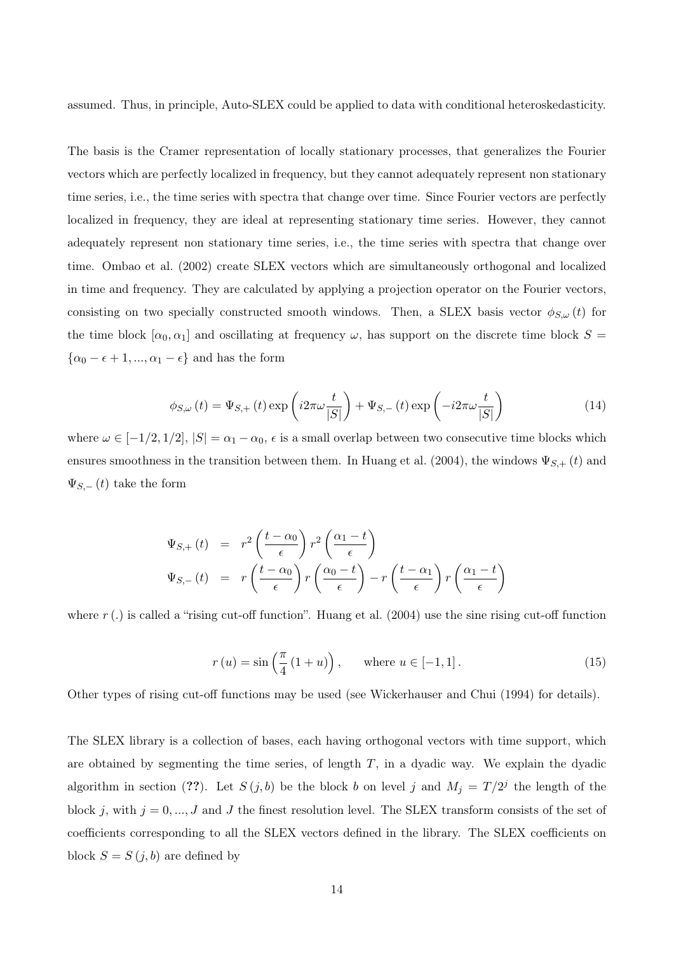assumed. Thus, in principle, Auto-SLEX could be applied to data with conditional heteroskedasticity.

The basis is the Cramer representation of locally stationary processes, that generalizes the Fourier vectors which are perfectly localized in frequency, but they cannot adequately represent non stationary time series, i.e., the time series with spectra that change over time. Since Fourier vectors are perfectly localized in frequency, they are ideal at representing stationary time series. However, they cannot adequately represent non stationary time series, i.e., the time series with spectra that change over time. Ombao et al. (2002) create SLEX vectors which are simultaneously orthogonal and localized in time and frequency. They are calculated by applying a projection operator on the Fourier vectors, consisting on two specially constructed smooth windows. Then, a SLEX basis vector  $\phi_{S,\omega}(t)$  for the time block  $[\alpha_0, \alpha_1]$  and oscillating at frequency  $\omega$ , has support on the discrete time block  $S =$  $\{\alpha_0 - \epsilon + 1, ..., \alpha_1 - \epsilon\}$  and has the form

$$
\phi_{S,\omega}(t) = \Psi_{S,+}(t) \exp\left(i2\pi\omega \frac{t}{|S|}\right) + \Psi_{S,-}(t) \exp\left(-i2\pi\omega \frac{t}{|S|}\right)
$$
(14)

where  $\omega \in [-1/2, 1/2], |S| = \alpha_1 - \alpha_0$ ,  $\epsilon$  is a small overlap between two consecutive time blocks which ensures smoothness in the transition between them. In Huang et al. (2004), the windows  $\Psi_{S,+}(t)$  and  $\Psi_{S,-}(t)$  take the form

$$
\Psi_{S,+}(t) = r^2 \left(\frac{t - \alpha_0}{\epsilon}\right) r^2 \left(\frac{\alpha_1 - t}{\epsilon}\right)
$$
\n
$$
\Psi_{S,-}(t) = r \left(\frac{t - \alpha_0}{\epsilon}\right) r \left(\frac{\alpha_0 - t}{\epsilon}\right) - r \left(\frac{t - \alpha_1}{\epsilon}\right) r \left(\frac{\alpha_1 - t}{\epsilon}\right)
$$

where  $r$  (.) is called a "rising cut-off function". Huang et al. (2004) use the sine rising cut-off function

$$
r(u) = \sin\left(\frac{\pi}{4}\left(1+u\right)\right), \quad \text{where } u \in [-1,1]. \tag{15}
$$

Other types of rising cut-off functions may be used (see Wickerhauser and Chui (1994) for details).

The SLEX library is a collection of bases, each having orthogonal vectors with time support, which are obtained by segmenting the time series, of length  $T$ , in a dyadic way. We explain the dyadic algorithm in section (??). Let  $S(j, b)$  be the block b on level j and  $M_j = T/2^j$  the length of the block j, with  $j = 0, ..., J$  and J the finest resolution level. The SLEX transform consists of the set of coefficients corresponding to all the SLEX vectors defined in the library. The SLEX coefficients on block  $S = S(j, b)$  are defined by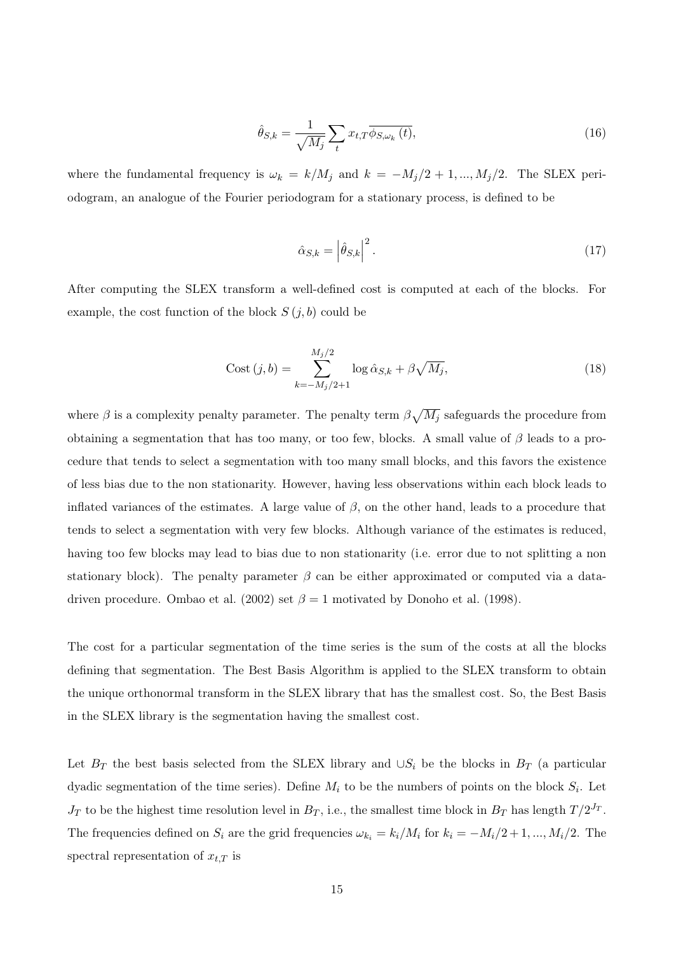$$
\hat{\theta}_{S,k} = \frac{1}{\sqrt{M_j}} \sum_{t} x_{t,T} \overline{\phi_{S,\omega_k}(t)},
$$
\n(16)

where the fundamental frequency is  $\omega_k = k/M_j$  and  $k = -M_j/2+1, ..., M_j/2$ . The SLEX periodogram, an analogue of the Fourier periodogram for a stationary process, is defined to be

$$
\hat{\alpha}_{S,k} = \left| \hat{\theta}_{S,k} \right|^2. \tag{17}
$$

After computing the SLEX transform a well-defined cost is computed at each of the blocks. For example, the cost function of the block  $S(j, b)$  could be

Cost 
$$
(j, b)
$$
 = 
$$
\sum_{k=-M_j/2+1}^{M_j/2} \log \hat{\alpha}_{S,k} + \beta \sqrt{M_j},
$$
 (18)

where  $\beta$  is a complexity penalty parameter. The penalty term  $\beta \sqrt{M_j}$  safeguards the procedure from obtaining a segmentation that has too many, or too few, blocks. A small value of  $\beta$  leads to a procedure that tends to select a segmentation with too many small blocks, and this favors the existence of less bias due to the non stationarity. However, having less observations within each block leads to inflated variances of the estimates. A large value of  $\beta$ , on the other hand, leads to a procedure that tends to select a segmentation with very few blocks. Although variance of the estimates is reduced, having too few blocks may lead to bias due to non stationarity (i.e. error due to not splitting a non stationary block). The penalty parameter  $\beta$  can be either approximated or computed via a datadriven procedure. Ombao et al. (2002) set  $\beta = 1$  motivated by Donoho et al. (1998).

The cost for a particular segmentation of the time series is the sum of the costs at all the blocks defining that segmentation. The Best Basis Algorithm is applied to the SLEX transform to obtain the unique orthonormal transform in the SLEX library that has the smallest cost. So, the Best Basis in the SLEX library is the segmentation having the smallest cost.

Let  $B_T$  the best basis selected from the SLEX library and  $\cup S_i$  be the blocks in  $B_T$  (a particular dyadic segmentation of the time series). Define  $M_i$  to be the numbers of points on the block  $S_i$ . Let  $J_T$  to be the highest time resolution level in  $B_T$ , i.e., the smallest time block in  $B_T$  has length  $T/2^{J_T}$ . The frequencies defined on  $S_i$  are the grid frequencies  $\omega_{k_i} = k_i/M_i$  for  $k_i = -M_i/2+1, ..., M_i/2$ . The spectral representation of  $x_{t,T}$  is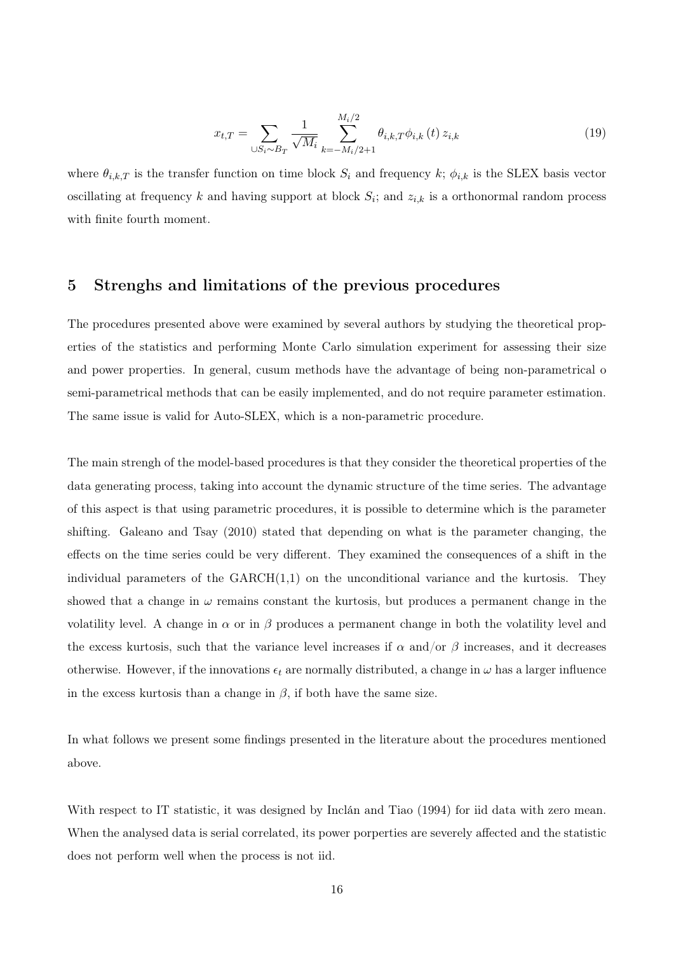$$
x_{t,T} = \sum_{\cup S_i \sim B_T} \frac{1}{\sqrt{M_i}} \sum_{k=-M_i/2+1}^{M_i/2} \theta_{i,k,T} \phi_{i,k} \left(t\right) z_{i,k} \tag{19}
$$

where  $\theta_{i,k,T}$  is the transfer function on time block  $S_i$  and frequency k;  $\phi_{i,k}$  is the SLEX basis vector oscillating at frequency k and having support at block  $S_i$ ; and  $z_{i,k}$  is a orthonormal random process with finite fourth moment.

## 5 Strenghs and limitations of the previous procedures

The procedures presented above were examined by several authors by studying the theoretical properties of the statistics and performing Monte Carlo simulation experiment for assessing their size and power properties. In general, cusum methods have the advantage of being non-parametrical o semi-parametrical methods that can be easily implemented, and do not require parameter estimation. The same issue is valid for Auto-SLEX, which is a non-parametric procedure.

The main strengh of the model-based procedures is that they consider the theoretical properties of the data generating process, taking into account the dynamic structure of the time series. The advantage of this aspect is that using parametric procedures, it is possible to determine which is the parameter shifting. Galeano and Tsay (2010) stated that depending on what is the parameter changing, the effects on the time series could be very different. They examined the consequences of a shift in the individual parameters of the  $GARCH(1,1)$  on the unconditional variance and the kurtosis. They showed that a change in  $\omega$  remains constant the kurtosis, but produces a permanent change in the volatility level. A change in  $\alpha$  or in  $\beta$  produces a permanent change in both the volatility level and the excess kurtosis, such that the variance level increases if  $\alpha$  and/or  $\beta$  increases, and it decreases otherwise. However, if the innovations  $\epsilon_t$  are normally distributed, a change in  $\omega$  has a larger influence in the excess kurtosis than a change in  $\beta$ , if both have the same size.

In what follows we present some findings presented in the literature about the procedures mentioned above.

With respect to IT statistic, it was designed by Inclán and Tiao (1994) for iid data with zero mean. When the analysed data is serial correlated, its power porperties are severely affected and the statistic does not perform well when the process is not iid.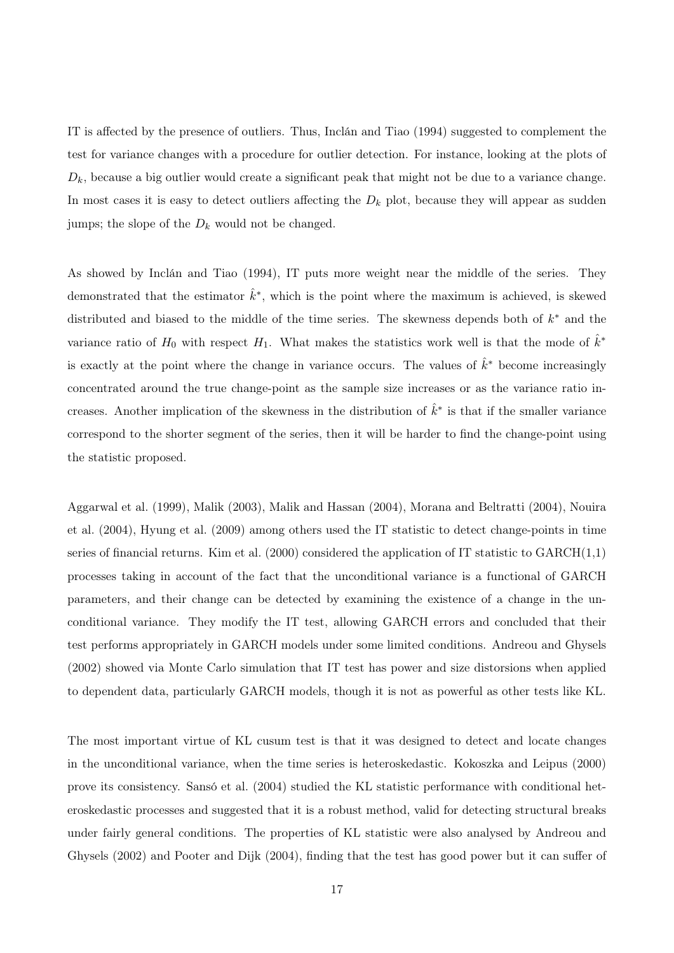IT is affected by the presence of outliers. Thus, Inclán and Tiao (1994) suggested to complement the test for variance changes with a procedure for outlier detection. For instance, looking at the plots of  $D_k$ , because a big outlier would create a significant peak that might not be due to a variance change. In most cases it is easy to detect outliers affecting the  $D_k$  plot, because they will appear as sudden jumps; the slope of the  $D_k$  would not be changed.

As showed by Inclán and Tiao (1994), IT puts more weight near the middle of the series. They demonstrated that the estimator  $\hat{k}^*$ , which is the point where the maximum is achieved, is skewed distributed and biased to the middle of the time series. The skewness depends both of  $k^*$  and the variance ratio of  $H_0$  with respect  $H_1$ . What makes the statistics work well is that the mode of  $\hat{k}^*$ is exactly at the point where the change in variance occurs. The values of  $\hat{k}^*$  become increasingly concentrated around the true change-point as the sample size increases or as the variance ratio increases. Another implication of the skewness in the distribution of  $\hat{k}^*$  is that if the smaller variance correspond to the shorter segment of the series, then it will be harder to find the change-point using the statistic proposed.

Aggarwal et al. (1999), Malik (2003), Malik and Hassan (2004), Morana and Beltratti (2004), Nouira et al. (2004), Hyung et al. (2009) among others used the IT statistic to detect change-points in time series of financial returns. Kim et al.  $(2000)$  considered the application of IT statistic to  $GARCH(1,1)$ processes taking in account of the fact that the unconditional variance is a functional of GARCH parameters, and their change can be detected by examining the existence of a change in the unconditional variance. They modify the IT test, allowing GARCH errors and concluded that their test performs appropriately in GARCH models under some limited conditions. Andreou and Ghysels (2002) showed via Monte Carlo simulation that IT test has power and size distorsions when applied to dependent data, particularly GARCH models, though it is not as powerful as other tests like KL.

The most important virtue of KL cusum test is that it was designed to detect and locate changes in the unconditional variance, when the time series is heteroskedastic. Kokoszka and Leipus (2000) prove its consistency. Sansó et al. (2004) studied the KL statistic performance with conditional heteroskedastic processes and suggested that it is a robust method, valid for detecting structural breaks under fairly general conditions. The properties of KL statistic were also analysed by Andreou and Ghysels (2002) and Pooter and Dijk (2004), finding that the test has good power but it can suffer of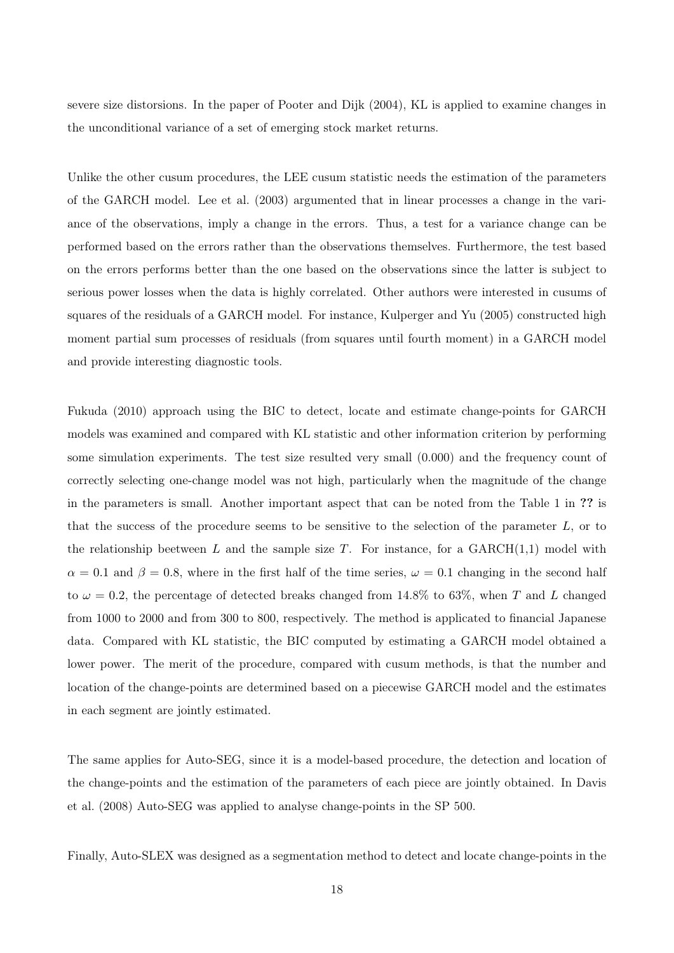severe size distorsions. In the paper of Pooter and Dijk (2004), KL is applied to examine changes in the unconditional variance of a set of emerging stock market returns.

Unlike the other cusum procedures, the LEE cusum statistic needs the estimation of the parameters of the GARCH model. Lee et al. (2003) argumented that in linear processes a change in the variance of the observations, imply a change in the errors. Thus, a test for a variance change can be performed based on the errors rather than the observations themselves. Furthermore, the test based on the errors performs better than the one based on the observations since the latter is subject to serious power losses when the data is highly correlated. Other authors were interested in cusums of squares of the residuals of a GARCH model. For instance, Kulperger and Yu (2005) constructed high moment partial sum processes of residuals (from squares until fourth moment) in a GARCH model and provide interesting diagnostic tools.

Fukuda (2010) approach using the BIC to detect, locate and estimate change-points for GARCH models was examined and compared with KL statistic and other information criterion by performing some simulation experiments. The test size resulted very small (0.000) and the frequency count of correctly selecting one-change model was not high, particularly when the magnitude of the change in the parameters is small. Another important aspect that can be noted from the Table 1 in ?? is that the success of the procedure seems to be sensitive to the selection of the parameter  $L$ , or to the relationship beetween L and the sample size T. For instance, for a  $GARCH(1,1)$  model with  $\alpha = 0.1$  and  $\beta = 0.8$ , where in the first half of the time series,  $\omega = 0.1$  changing in the second half to  $\omega = 0.2$ , the percentage of detected breaks changed from 14.8% to 63%, when T and L changed from 1000 to 2000 and from 300 to 800, respectively. The method is applicated to financial Japanese data. Compared with KL statistic, the BIC computed by estimating a GARCH model obtained a lower power. The merit of the procedure, compared with cusum methods, is that the number and location of the change-points are determined based on a piecewise GARCH model and the estimates in each segment are jointly estimated.

The same applies for Auto-SEG, since it is a model-based procedure, the detection and location of the change-points and the estimation of the parameters of each piece are jointly obtained. In Davis et al. (2008) Auto-SEG was applied to analyse change-points in the SP 500.

Finally, Auto-SLEX was designed as a segmentation method to detect and locate change-points in the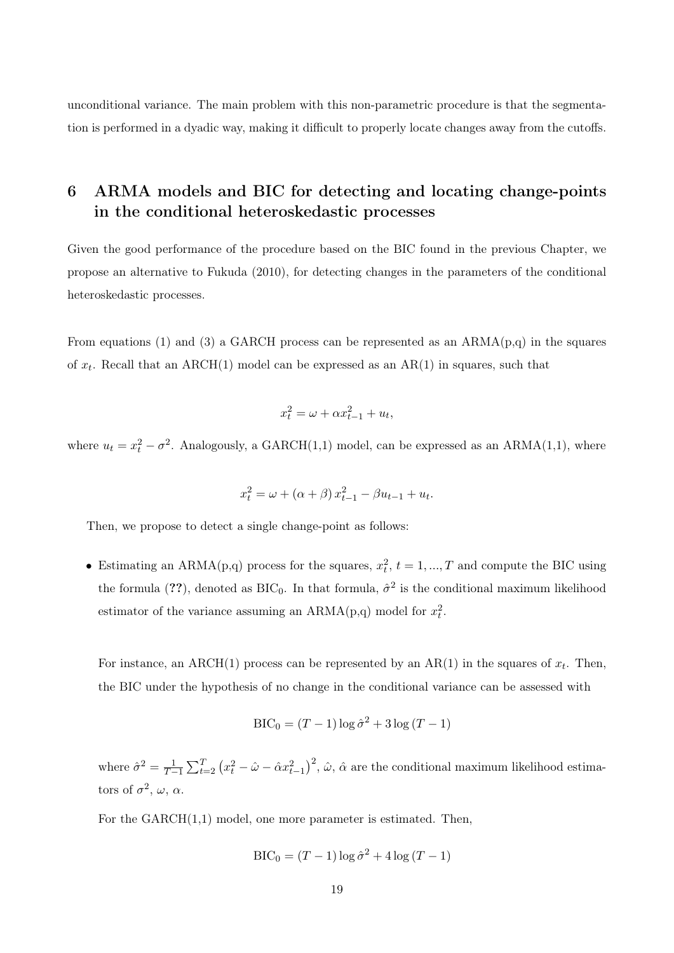unconditional variance. The main problem with this non-parametric procedure is that the segmentation is performed in a dyadic way, making it difficult to properly locate changes away from the cutoffs.

## 6 ARMA models and BIC for detecting and locating change-points in the conditional heteroskedastic processes

Given the good performance of the procedure based on the BIC found in the previous Chapter, we propose an alternative to Fukuda (2010), for detecting changes in the parameters of the conditional heteroskedastic processes.

From equations (1) and (3) a GARCH process can be represented as an  $ARMA(p,q)$  in the squares of  $x_t$ . Recall that an ARCH(1) model can be expressed as an AR(1) in squares, such that

$$
x_t^2 = \omega + \alpha x_{t-1}^2 + u_t,
$$

where  $u_t = x_t^2 - \sigma^2$ . Analogously, a GARCH(1,1) model, can be expressed as an ARMA(1,1), where

$$
x_t^2 = \omega + (\alpha + \beta) x_{t-1}^2 - \beta u_{t-1} + u_t.
$$

Then, we propose to detect a single change-point as follows:

• Estimating an ARMA(p,q) process for the squares,  $x_t^2$ ,  $t = 1, ..., T$  and compute the BIC using the formula (??), denoted as  $BIC_0$ . In that formula,  $\hat{\sigma}^2$  is the conditional maximum likelihood estimator of the variance assuming an  $ARMA(p,q)$  model for  $x_t^2$ .

For instance, an ARCH(1) process can be represented by an AR(1) in the squares of  $x_t$ . Then, the BIC under the hypothesis of no change in the conditional variance can be assessed with

$$
BIC_0 = (T - 1) \log \hat{\sigma}^2 + 3 \log (T - 1)
$$

where  $\hat{\sigma}^2 = \frac{1}{T-1} \sum_{t=2}^T (x_t^2 - \hat{\omega} - \hat{\alpha} x_{t-1}^2)^2$ ,  $\hat{\omega}$ ,  $\hat{\alpha}$  are the conditional maximum likelihood estimators of  $\sigma^2$ ,  $\omega$ ,  $\alpha$ .

For the GARCH(1,1) model, one more parameter is estimated. Then,

$$
BIC_0 = (T - 1) \log \hat{\sigma}^2 + 4 \log (T - 1)
$$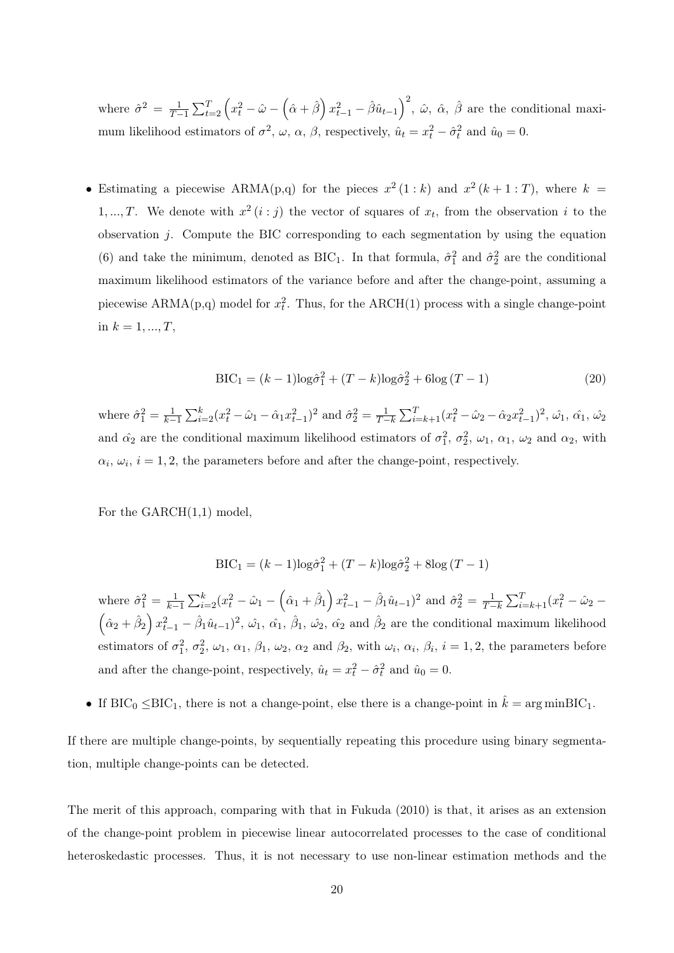where  $\hat{\sigma}^2 = \frac{1}{T-1} \sum_{t=2}^T \left( x_t^2 - \hat{\omega} - \left( \hat{\alpha} + \hat{\beta} \right) x_{t-1}^2 - \hat{\beta} \hat{u}_{t-1} \right)^2$ ,  $\hat{\omega}$ ,  $\hat{\alpha}$ ,  $\hat{\beta}$  are the conditional maximum likelihood estimators of  $\sigma^2$ ,  $\omega$ ,  $\alpha$ ,  $\beta$ , respectively,  $\hat{u}_t = x_t^2 - \hat{\sigma}_t^2$  and  $\hat{u}_0 = 0$ .

• Estimating a piecewise ARMA(p,q) for the pieces  $x^2 (1 : k)$  and  $x^2 (k + 1 : T)$ , where  $k =$ 1, ..., T. We denote with  $x^2(i : j)$  the vector of squares of  $x_t$ , from the observation i to the observation  $i$ . Compute the BIC corresponding to each segmentation by using the equation (6) and take the minimum, denoted as BIC<sub>1</sub>. In that formula,  $\hat{\sigma}_1^2$  and  $\hat{\sigma}_2^2$  are the conditional maximum likelihood estimators of the variance before and after the change-point, assuming a piecewise  $ARMA(p,q)$  model for  $x_t^2$ . Thus, for the  $ARCH(1)$  process with a single change-point in  $k = 1, ..., T$ ,

$$
BIC_1 = (k-1)\log\hat{\sigma}_1^2 + (T-k)\log\hat{\sigma}_2^2 + 6\log(T-1)
$$
\n(20)

where  $\hat{\sigma}_1^2 = \frac{1}{k-1} \sum_{i=2}^k (x_i^2 - \hat{\omega}_1 - \hat{\alpha}_1 x_{t-1}^2)^2$  and  $\hat{\sigma}_2^2 = \frac{1}{T-k} \sum_{i=k+1}^T (x_i^2 - \hat{\omega}_2 - \hat{\alpha}_2 x_{t-1}^2)^2$ ,  $\hat{\omega}_1$ ,  $\hat{\alpha}_1$ ,  $\hat{\omega}_2$ and  $\hat{\alpha_2}$  are the conditional maximum likelihood estimators of  $\sigma_1^2$ ,  $\sigma_2^2$ ,  $\omega_1$ ,  $\alpha_1$ ,  $\omega_2$  and  $\alpha_2$ , with  $\alpha_i, \omega_i, i = 1, 2$ , the parameters before and after the change-point, respectively.

For the GARCH(1,1) model,

$$
BIC_1 = (k-1)\log\hat{\sigma}_1^2 + (T-k)\log\hat{\sigma}_2^2 + 8\log(T-1)
$$

where  $\hat{\sigma}_1^2 = \frac{1}{k-1} \sum_{i=2}^k (x_i^2 - \hat{\omega}_1 - (\hat{\alpha}_1 + \hat{\beta}_1) x_{t-1}^2 - \hat{\beta}_1 \hat{u}_{t-1})^2$  and  $\hat{\sigma}_2^2 = \frac{1}{T-k} \sum_{i=k+1}^T (x_i^2 - \hat{\omega}_2 - (\hat{\alpha}_1 + \hat{\beta}_1) x_{t-1}^2 - \hat{\beta}_1 \hat{u}_{t-1})^2$  and  $\hat{\sigma}_2^2 = \frac{1}{T-k} \sum_{i=k+1}^T (x_i^2 - \hat{\omega}_2 (\hat{\alpha}_2 + \hat{\beta}_2) x_{t-1}^2 - (\hat{\beta}_1 \hat{u}_{t-1})^2$ ,  $(\hat{\omega}_1, \hat{\alpha}_1, \hat{\beta}_1, \hat{\omega}_2, \hat{\alpha}_2)$  and  $\hat{\beta}_2$  are the conditional maximum likelihood estimators of  $\sigma_1^2$ ,  $\sigma_2^2$ ,  $\omega_1$ ,  $\alpha_1$ ,  $\beta_1$ ,  $\omega_2$ ,  $\alpha_2$  and  $\beta_2$ , with  $\omega_i$ ,  $\alpha_i$ ,  $\beta_i$ ,  $i = 1, 2$ , the parameters before and after the change-point, respectively,  $\hat{u}_t = x_t^2 - \hat{\sigma}_t^2$  and  $\hat{u}_0 = 0$ .

• If  $BIC_0 \leq BIC_1$ , there is not a change-point, else there is a change-point in  $\hat{k} = \arg \min BIC_1$ .

If there are multiple change-points, by sequentially repeating this procedure using binary segmentation, multiple change-points can be detected.

The merit of this approach, comparing with that in Fukuda (2010) is that, it arises as an extension of the change-point problem in piecewise linear autocorrelated processes to the case of conditional heteroskedastic processes. Thus, it is not necessary to use non-linear estimation methods and the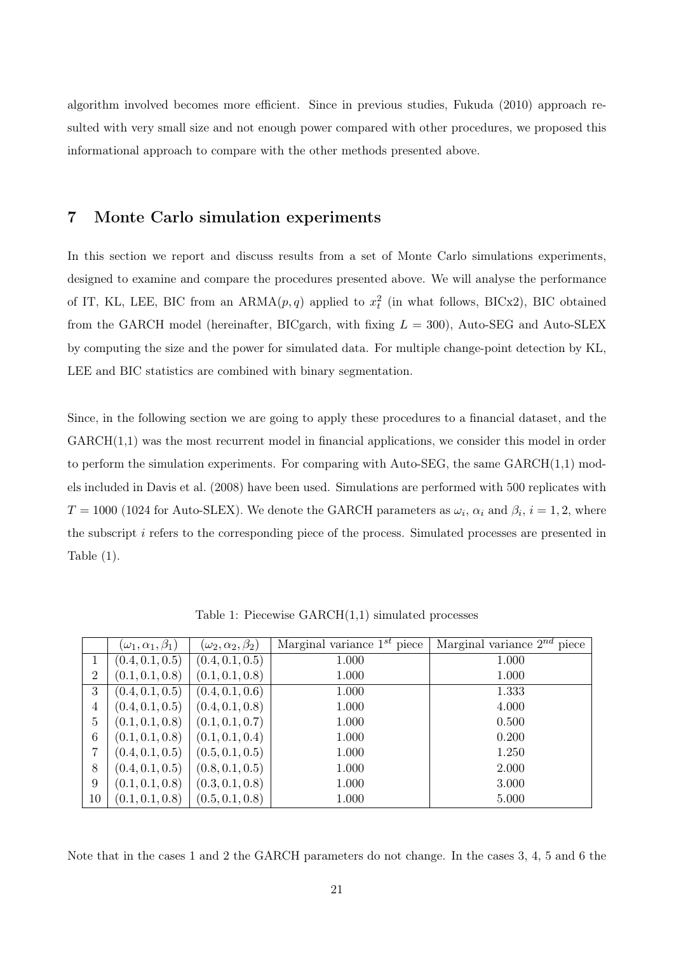algorithm involved becomes more efficient. Since in previous studies, Fukuda (2010) approach resulted with very small size and not enough power compared with other procedures, we proposed this informational approach to compare with the other methods presented above.

## 7 Monte Carlo simulation experiments

In this section we report and discuss results from a set of Monte Carlo simulations experiments, designed to examine and compare the procedures presented above. We will analyse the performance of IT, KL, LEE, BIC from an  $ARMA(p, q)$  applied to  $x_t^2$  (in what follows, BICx2), BIC obtained from the GARCH model (hereinafter, BICgarch, with fixing  $L = 300$ ), Auto-SEG and Auto-SLEX by computing the size and the power for simulated data. For multiple change-point detection by KL, LEE and BIC statistics are combined with binary segmentation.

Since, in the following section we are going to apply these procedures to a financial dataset, and the  $GARCH(1,1)$  was the most recurrent model in financial applications, we consider this model in order to perform the simulation experiments. For comparing with Auto-SEG, the same  $GARCH(1,1)$  models included in Davis et al. (2008) have been used. Simulations are performed with 500 replicates with  $T = 1000$  (1024 for Auto-SLEX). We denote the GARCH parameters as  $\omega_i$ ,  $\alpha_i$  and  $\beta_i$ ,  $i = 1, 2$ , where the subscript i refers to the corresponding piece of the process. Simulated processes are presented in Table (1).

|                | $(\omega_1,\alpha_1,\beta_1)$ | $(\omega_2, \alpha_2, \beta_2)$ | Marginal variance $1^{st}$ piece | Marginal variance $2^{nd}$ piece |
|----------------|-------------------------------|---------------------------------|----------------------------------|----------------------------------|
| 1              | (0.4, 0.1, 0.5)               | (0.4, 0.1, 0.5)                 | 1.000                            | 1.000                            |
| $\overline{2}$ | (0.1, 0.1, 0.8)               | (0.1, 0.1, 0.8)                 | 1.000                            | 1.000                            |
| 3              | (0.4, 0.1, 0.5)               | (0.4, 0.1, 0.6)                 | 1.000                            | 1.333                            |
| 4              | (0.4, 0.1, 0.5)               | (0.4, 0.1, 0.8)                 | 1.000                            | 4.000                            |
| 5              | (0.1, 0.1, 0.8)               | (0.1, 0.1, 0.7)                 | 1.000                            | 0.500                            |
| 6              | (0.1, 0.1, 0.8)               | (0.1, 0.1, 0.4)                 | 1.000                            | 0.200                            |
| 7              | (0.4, 0.1, 0.5)               | (0.5, 0.1, 0.5)                 | 1.000                            | 1.250                            |
| 8              | (0.4, 0.1, 0.5)               | (0.8, 0.1, 0.5)                 | 1.000                            | 2.000                            |
| 9              | (0.1, 0.1, 0.8)               | (0.3, 0.1, 0.8)                 | 1.000                            | 3.000                            |
| 10             | (0.1, 0.1, 0.8)               | (0.5, 0.1, 0.8)                 | 1.000                            | 5.000                            |

Table 1: Piecewise GARCH(1,1) simulated processes

Note that in the cases 1 and 2 the GARCH parameters do not change. In the cases 3, 4, 5 and 6 the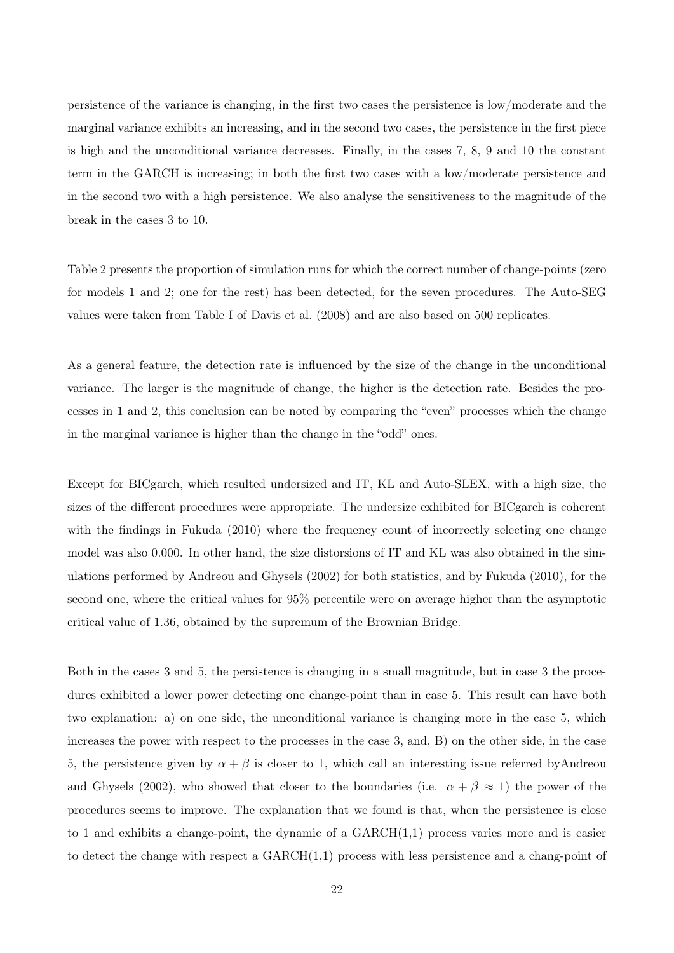persistence of the variance is changing, in the first two cases the persistence is low/moderate and the marginal variance exhibits an increasing, and in the second two cases, the persistence in the first piece is high and the unconditional variance decreases. Finally, in the cases 7, 8, 9 and 10 the constant term in the GARCH is increasing; in both the first two cases with a low/moderate persistence and in the second two with a high persistence. We also analyse the sensitiveness to the magnitude of the break in the cases 3 to 10.

Table 2 presents the proportion of simulation runs for which the correct number of change-points (zero for models 1 and 2; one for the rest) has been detected, for the seven procedures. The Auto-SEG values were taken from Table I of Davis et al. (2008) and are also based on 500 replicates.

As a general feature, the detection rate is influenced by the size of the change in the unconditional variance. The larger is the magnitude of change, the higher is the detection rate. Besides the processes in 1 and 2, this conclusion can be noted by comparing the "even" processes which the change in the marginal variance is higher than the change in the "odd" ones.

Except for BICgarch, which resulted undersized and IT, KL and Auto-SLEX, with a high size, the sizes of the different procedures were appropriate. The undersize exhibited for BICgarch is coherent with the findings in Fukuda (2010) where the frequency count of incorrectly selecting one change model was also 0.000. In other hand, the size distorsions of IT and KL was also obtained in the simulations performed by Andreou and Ghysels (2002) for both statistics, and by Fukuda (2010), for the second one, where the critical values for 95% percentile were on average higher than the asymptotic critical value of 1.36, obtained by the supremum of the Brownian Bridge.

Both in the cases 3 and 5, the persistence is changing in a small magnitude, but in case 3 the procedures exhibited a lower power detecting one change-point than in case 5. This result can have both two explanation: a) on one side, the unconditional variance is changing more in the case 5, which increases the power with respect to the processes in the case 3, and, B) on the other side, in the case 5, the persistence given by  $\alpha + \beta$  is closer to 1, which call an interesting issue referred byAndreou and Ghysels (2002), who showed that closer to the boundaries (i.e.  $\alpha + \beta \approx 1$ ) the power of the procedures seems to improve. The explanation that we found is that, when the persistence is close to 1 and exhibits a change-point, the dynamic of a  $GARCH(1,1)$  process varies more and is easier to detect the change with respect a GARCH(1,1) process with less persistence and a chang-point of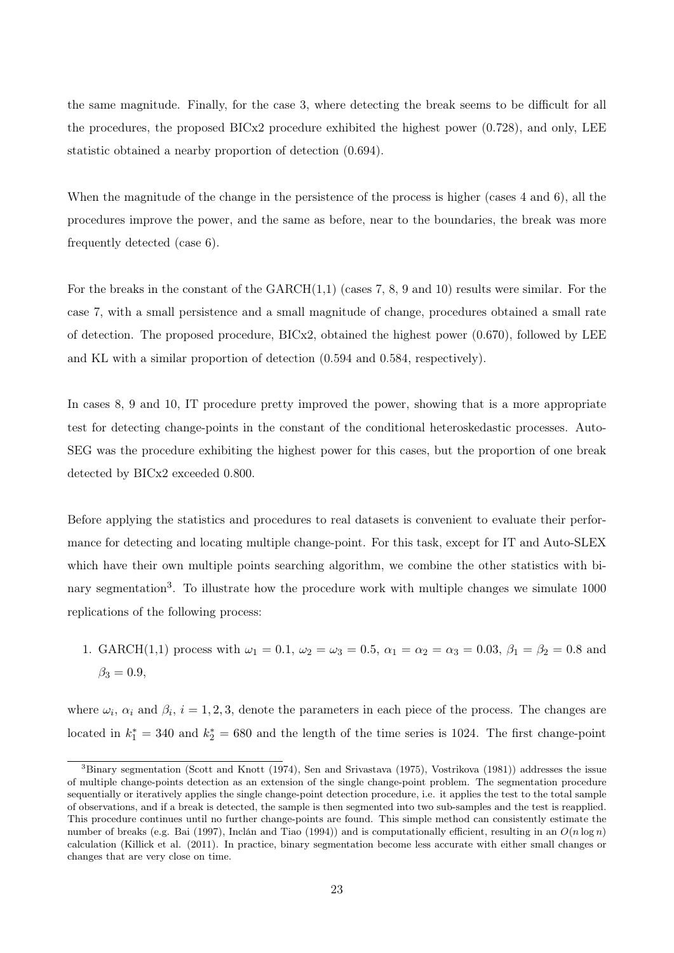the same magnitude. Finally, for the case 3, where detecting the break seems to be difficult for all the procedures, the proposed BICx2 procedure exhibited the highest power (0.728), and only, LEE statistic obtained a nearby proportion of detection (0.694).

When the magnitude of the change in the persistence of the process is higher (cases 4 and 6), all the procedures improve the power, and the same as before, near to the boundaries, the break was more frequently detected (case 6).

For the breaks in the constant of the  $GARCH(1,1)$  (cases 7, 8, 9 and 10) results were similar. For the case 7, with a small persistence and a small magnitude of change, procedures obtained a small rate of detection. The proposed procedure, BICx2, obtained the highest power (0.670), followed by LEE and KL with a similar proportion of detection (0.594 and 0.584, respectively).

In cases 8, 9 and 10, IT procedure pretty improved the power, showing that is a more appropriate test for detecting change-points in the constant of the conditional heteroskedastic processes. Auto-SEG was the procedure exhibiting the highest power for this cases, but the proportion of one break detected by BICx2 exceeded 0.800.

Before applying the statistics and procedures to real datasets is convenient to evaluate their performance for detecting and locating multiple change-point. For this task, except for IT and Auto-SLEX which have their own multiple points searching algorithm, we combine the other statistics with binary segmentation<sup>3</sup>. To illustrate how the procedure work with multiple changes we simulate 1000 replications of the following process:

1. GARCH(1,1) process with  $\omega_1 = 0.1$ ,  $\omega_2 = \omega_3 = 0.5$ ,  $\alpha_1 = \alpha_2 = \alpha_3 = 0.03$ ,  $\beta_1 = \beta_2 = 0.8$  and  $\beta_3 = 0.9$ ,

where  $\omega_i$ ,  $\alpha_i$  and  $\beta_i$ ,  $i = 1, 2, 3$ , denote the parameters in each piece of the process. The changes are located in  $k_1^* = 340$  and  $k_2^* = 680$  and the length of the time series is 1024. The first change-point

<sup>3</sup>Binary segmentation (Scott and Knott (1974), Sen and Srivastava (1975), Vostrikova (1981)) addresses the issue of multiple change-points detection as an extension of the single change-point problem. The segmentation procedure sequentially or iteratively applies the single change-point detection procedure, i.e. it applies the test to the total sample of observations, and if a break is detected, the sample is then segmented into two sub-samples and the test is reapplied. This procedure continues until no further change-points are found. This simple method can consistently estimate the number of breaks (e.g. Bai (1997), Inclán and Tiao (1994)) and is computationally efficient, resulting in an  $O(n \log n)$ calculation (Killick et al. (2011). In practice, binary segmentation become less accurate with either small changes or changes that are very close on time.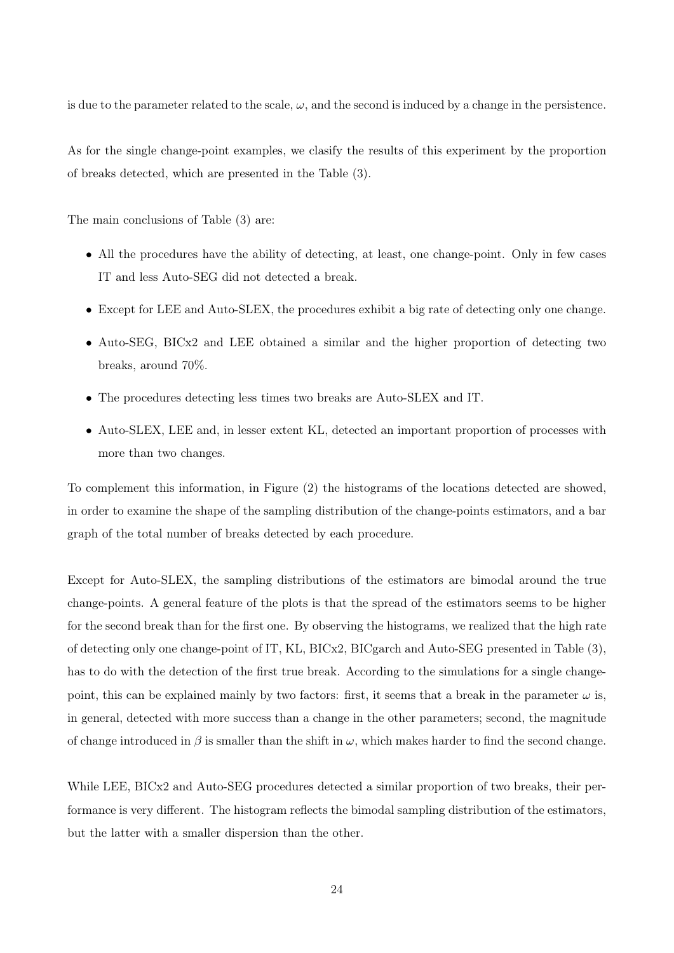is due to the parameter related to the scale,  $\omega$ , and the second is induced by a change in the persistence.

As for the single change-point examples, we clasify the results of this experiment by the proportion of breaks detected, which are presented in the Table (3).

The main conclusions of Table (3) are:

- All the procedures have the ability of detecting, at least, one change-point. Only in few cases IT and less Auto-SEG did not detected a break.
- Except for LEE and Auto-SLEX, the procedures exhibit a big rate of detecting only one change.
- Auto-SEG, BICx2 and LEE obtained a similar and the higher proportion of detecting two breaks, around 70%.
- The procedures detecting less times two breaks are Auto-SLEX and IT.
- Auto-SLEX, LEE and, in lesser extent KL, detected an important proportion of processes with more than two changes.

To complement this information, in Figure (2) the histograms of the locations detected are showed, in order to examine the shape of the sampling distribution of the change-points estimators, and a bar graph of the total number of breaks detected by each procedure.

Except for Auto-SLEX, the sampling distributions of the estimators are bimodal around the true change-points. A general feature of the plots is that the spread of the estimators seems to be higher for the second break than for the first one. By observing the histograms, we realized that the high rate of detecting only one change-point of IT, KL, BICx2, BICgarch and Auto-SEG presented in Table (3), has to do with the detection of the first true break. According to the simulations for a single changepoint, this can be explained mainly by two factors: first, it seems that a break in the parameter  $\omega$  is, in general, detected with more success than a change in the other parameters; second, the magnitude of change introduced in  $\beta$  is smaller than the shift in  $\omega$ , which makes harder to find the second change.

While LEE, BICx2 and Auto-SEG procedures detected a similar proportion of two breaks, their performance is very different. The histogram reflects the bimodal sampling distribution of the estimators, but the latter with a smaller dispersion than the other.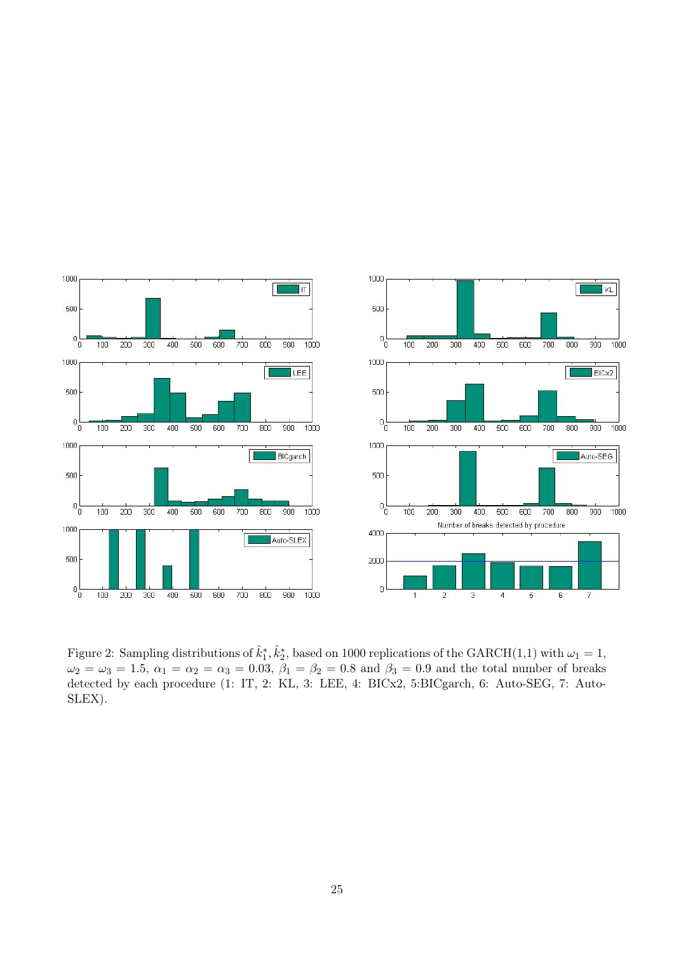

Figure 2: Sampling distributions of  $\hat{k}_1^*, \hat{k}_2^*$ , based on 1000 replications of the GARCH(1,1) with  $\omega_1 = 1$ ,  $\omega_2 = \omega_3 = 1.5, \ \alpha_1 = \alpha_2 = \alpha_3 = 0.03, \ \beta_1 = \beta_2 = 0.8 \text{ and } \beta_3 = 0.9 \text{ and the total number of breaks}$ detected by each procedure (1: IT, 2: KL, 3: LEE, 4: BICx2, 5:BICgarch, 6: Auto-SEG, 7: Auto-SLEX).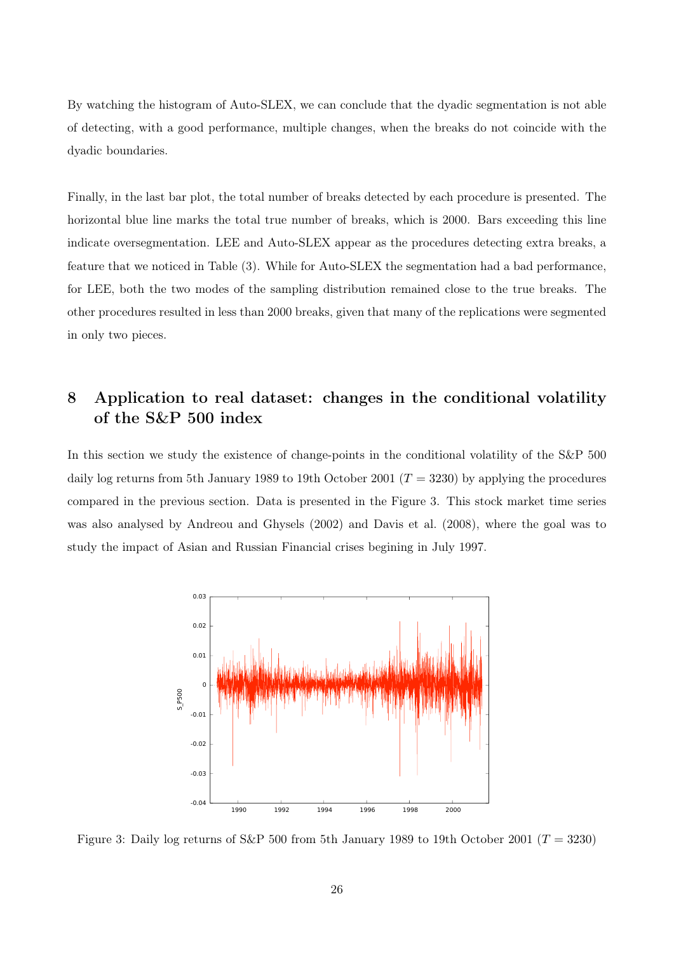By watching the histogram of Auto-SLEX, we can conclude that the dyadic segmentation is not able of detecting, with a good performance, multiple changes, when the breaks do not coincide with the dyadic boundaries.

Finally, in the last bar plot, the total number of breaks detected by each procedure is presented. The horizontal blue line marks the total true number of breaks, which is 2000. Bars exceeding this line indicate oversegmentation. LEE and Auto-SLEX appear as the procedures detecting extra breaks, a feature that we noticed in Table (3). While for Auto-SLEX the segmentation had a bad performance, for LEE, both the two modes of the sampling distribution remained close to the true breaks. The other procedures resulted in less than 2000 breaks, given that many of the replications were segmented in only two pieces.

# 8 Application to real dataset: changes in the conditional volatility of the S&P 500 index

In this section we study the existence of change-points in the conditional volatility of the S&P 500 daily log returns from 5th January 1989 to 19th October 2001 ( $T = 3230$ ) by applying the procedures compared in the previous section. Data is presented in the Figure 3. This stock market time series was also analysed by Andreou and Ghysels (2002) and Davis et al. (2008), where the goal was to study the impact of Asian and Russian Financial crises begining in July 1997.



Figure 3: Daily log returns of S&P 500 from 5th January 1989 to 19th October 2001 ( $T = 3230$ )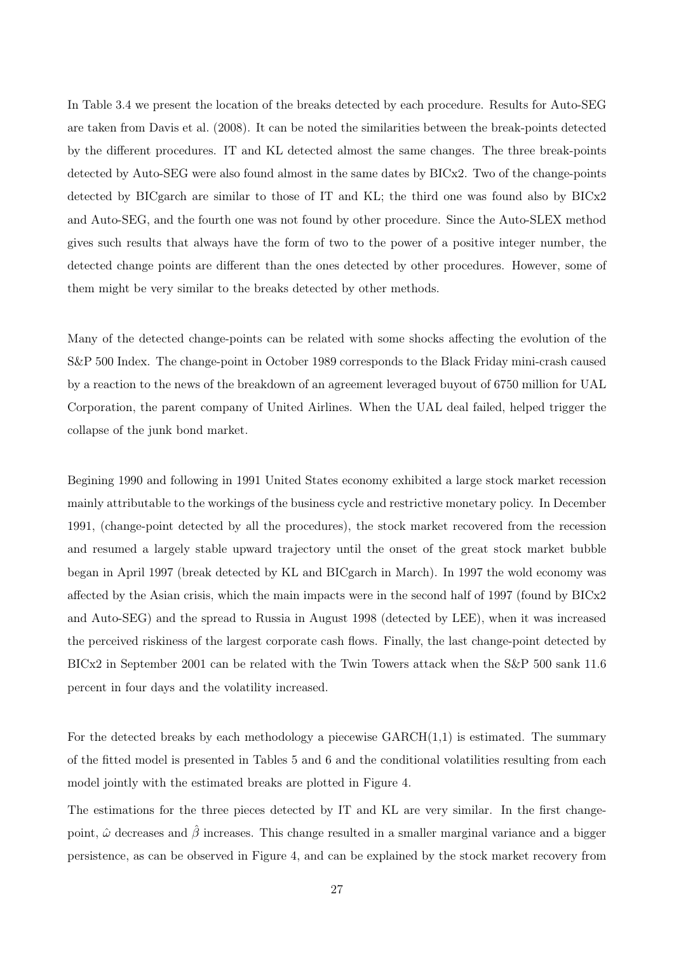In Table 3.4 we present the location of the breaks detected by each procedure. Results for Auto-SEG are taken from Davis et al. (2008). It can be noted the similarities between the break-points detected by the different procedures. IT and KL detected almost the same changes. The three break-points detected by Auto-SEG were also found almost in the same dates by BICx2. Two of the change-points detected by BICgarch are similar to those of IT and KL; the third one was found also by BICx2 and Auto-SEG, and the fourth one was not found by other procedure. Since the Auto-SLEX method gives such results that always have the form of two to the power of a positive integer number, the detected change points are different than the ones detected by other procedures. However, some of them might be very similar to the breaks detected by other methods.

Many of the detected change-points can be related with some shocks affecting the evolution of the S&P 500 Index. The change-point in October 1989 corresponds to the Black Friday mini-crash caused by a reaction to the news of the breakdown of an agreement leveraged buyout of 6750 million for UAL Corporation, the parent company of United Airlines. When the UAL deal failed, helped trigger the collapse of the junk bond market.

Begining 1990 and following in 1991 United States economy exhibited a large stock market recession mainly attributable to the workings of the business cycle and restrictive monetary policy. In December 1991, (change-point detected by all the procedures), the stock market recovered from the recession and resumed a largely stable upward trajectory until the onset of the great stock market bubble began in April 1997 (break detected by KL and BICgarch in March). In 1997 the wold economy was affected by the Asian crisis, which the main impacts were in the second half of 1997 (found by BICx2 and Auto-SEG) and the spread to Russia in August 1998 (detected by LEE), when it was increased the perceived riskiness of the largest corporate cash flows. Finally, the last change-point detected by BICx2 in September 2001 can be related with the Twin Towers attack when the S&P 500 sank 11.6 percent in four days and the volatility increased.

For the detected breaks by each methodology a piecewise  $GARCH(1,1)$  is estimated. The summary of the fitted model is presented in Tables 5 and 6 and the conditional volatilities resulting from each model jointly with the estimated breaks are plotted in Figure 4.

The estimations for the three pieces detected by IT and KL are very similar. In the first changepoint,  $\hat{\omega}$  decreases and  $\hat{\beta}$  increases. This change resulted in a smaller marginal variance and a bigger persistence, as can be observed in Figure 4, and can be explained by the stock market recovery from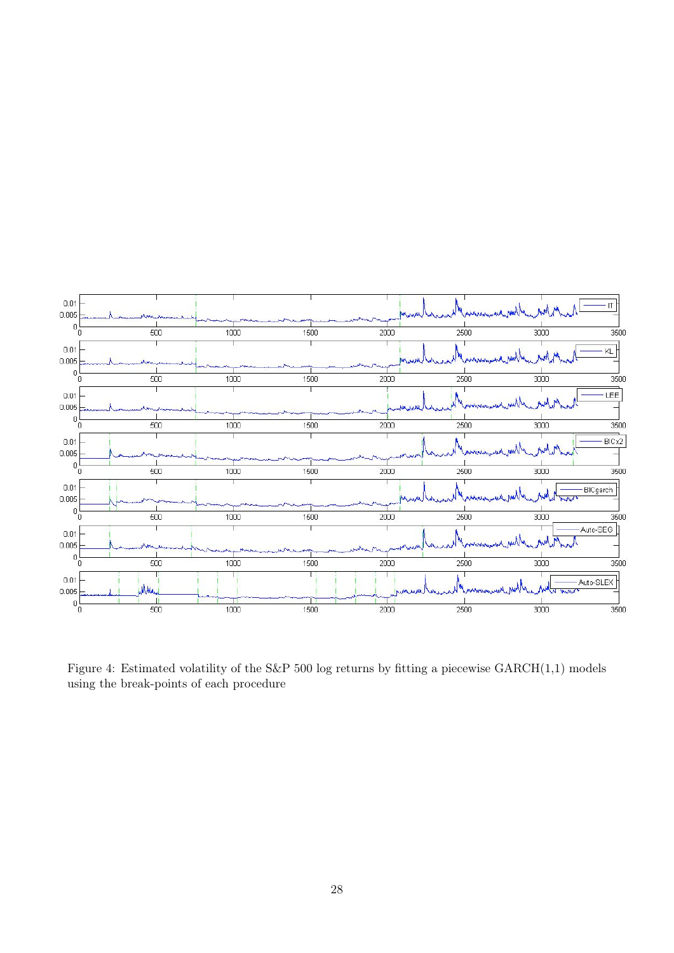

Figure 4: Estimated volatility of the S&P 500 log returns by fitting a piecewise GARCH(1,1) models using the break-points of each procedure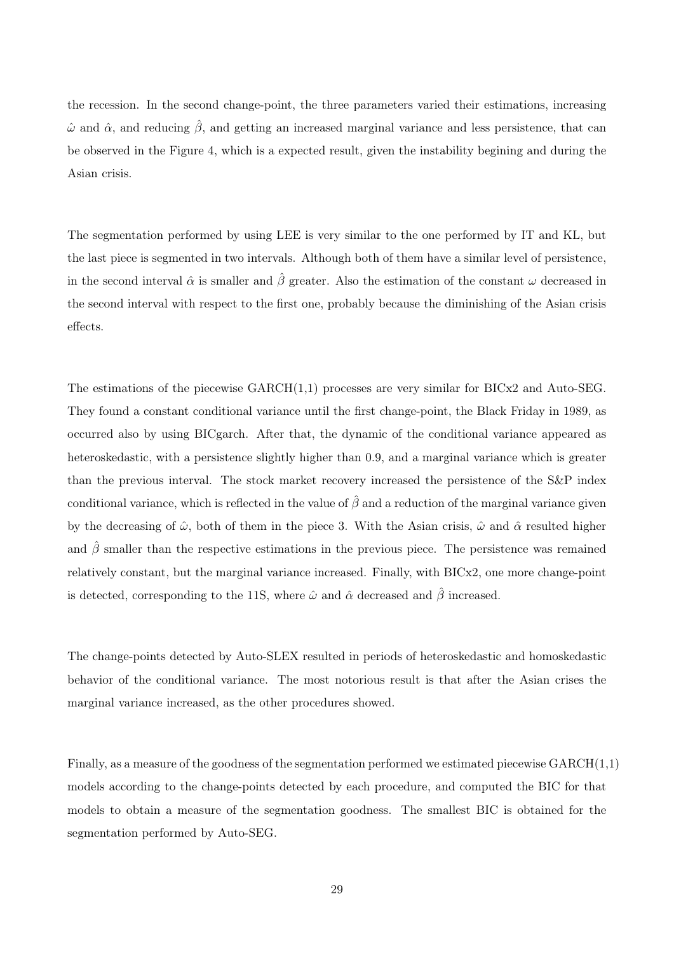the recession. In the second change-point, the three parameters varied their estimations, increasing  $\hat{\omega}$  and  $\hat{\alpha}$ , and reducing  $\hat{\beta}$ , and getting an increased marginal variance and less persistence, that can be observed in the Figure 4, which is a expected result, given the instability begining and during the Asian crisis.

The segmentation performed by using LEE is very similar to the one performed by IT and KL, but the last piece is segmented in two intervals. Although both of them have a similar level of persistence, in the second interval  $\hat{\alpha}$  is smaller and  $\hat{\beta}$  greater. Also the estimation of the constant  $\omega$  decreased in the second interval with respect to the first one, probably because the diminishing of the Asian crisis effects.

The estimations of the piecewise GARCH(1,1) processes are very similar for BICx2 and Auto-SEG. They found a constant conditional variance until the first change-point, the Black Friday in 1989, as occurred also by using BICgarch. After that, the dynamic of the conditional variance appeared as heteroskedastic, with a persistence slightly higher than 0.9, and a marginal variance which is greater than the previous interval. The stock market recovery increased the persistence of the S&P index conditional variance, which is reflected in the value of  $\hat{\beta}$  and a reduction of the marginal variance given by the decreasing of  $\hat{\omega}$ , both of them in the piece 3. With the Asian crisis,  $\hat{\omega}$  and  $\hat{\alpha}$  resulted higher and  $\hat{\beta}$  smaller than the respective estimations in the previous piece. The persistence was remained relatively constant, but the marginal variance increased. Finally, with BICx2, one more change-point is detected, corresponding to the 11S, where  $\hat{\omega}$  and  $\hat{\alpha}$  decreased and  $\hat{\beta}$  increased.

The change-points detected by Auto-SLEX resulted in periods of heteroskedastic and homoskedastic behavior of the conditional variance. The most notorious result is that after the Asian crises the marginal variance increased, as the other procedures showed.

Finally, as a measure of the goodness of the segmentation performed we estimated piecewise  $GARCH(1,1)$ models according to the change-points detected by each procedure, and computed the BIC for that models to obtain a measure of the segmentation goodness. The smallest BIC is obtained for the segmentation performed by Auto-SEG.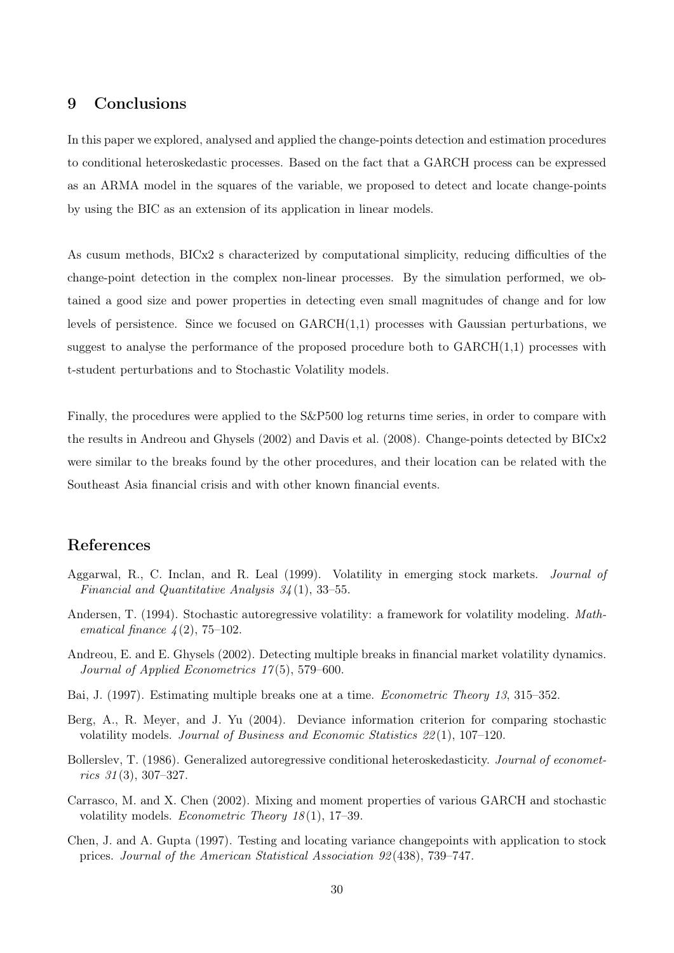## 9 Conclusions

In this paper we explored, analysed and applied the change-points detection and estimation procedures to conditional heteroskedastic processes. Based on the fact that a GARCH process can be expressed as an ARMA model in the squares of the variable, we proposed to detect and locate change-points by using the BIC as an extension of its application in linear models.

As cusum methods, BICx2 s characterized by computational simplicity, reducing difficulties of the change-point detection in the complex non-linear processes. By the simulation performed, we obtained a good size and power properties in detecting even small magnitudes of change and for low levels of persistence. Since we focused on  $GARCH(1,1)$  processes with Gaussian perturbations, we suggest to analyse the performance of the proposed procedure both to  $GARCH(1,1)$  processes with t-student perturbations and to Stochastic Volatility models.

Finally, the procedures were applied to the S&P500 log returns time series, in order to compare with the results in Andreou and Ghysels (2002) and Davis et al. (2008). Change-points detected by BICx2 were similar to the breaks found by the other procedures, and their location can be related with the Southeast Asia financial crisis and with other known financial events.

## References

- Aggarwal, R., C. Inclan, and R. Leal (1999). Volatility in emerging stock markets. *Journal of Financial and Quantitative Analysis 34* (1), 33–55.
- Andersen, T. (1994). Stochastic autoregressive volatility: a framework for volatility modeling. *Mathematical finance 4* (2), 75–102.
- Andreou, E. and E. Ghysels (2002). Detecting multiple breaks in financial market volatility dynamics. *Journal of Applied Econometrics 17* (5), 579–600.
- Bai, J. (1997). Estimating multiple breaks one at a time. *Econometric Theory 13*, 315–352.
- Berg, A., R. Meyer, and J. Yu (2004). Deviance information criterion for comparing stochastic volatility models. *Journal of Business and Economic Statistics 22* (1), 107–120.
- Bollerslev, T. (1986). Generalized autoregressive conditional heteroskedasticity. *Journal of econometrics 31* (3), 307–327.
- Carrasco, M. and X. Chen (2002). Mixing and moment properties of various GARCH and stochastic volatility models. *Econometric Theory 18* (1), 17–39.
- Chen, J. and A. Gupta (1997). Testing and locating variance changepoints with application to stock prices. *Journal of the American Statistical Association 92* (438), 739–747.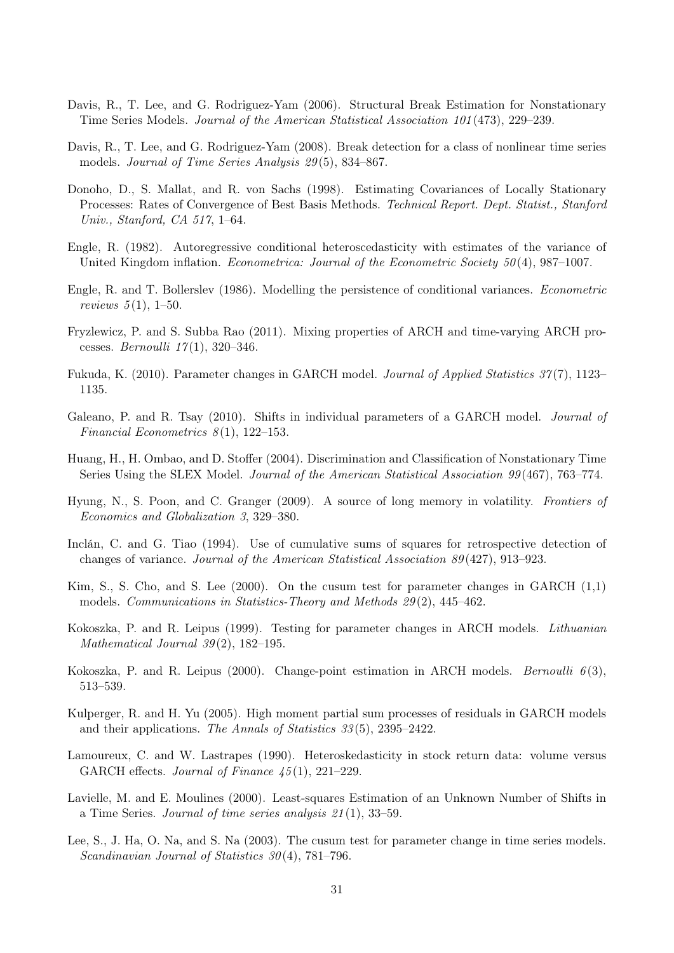- Davis, R., T. Lee, and G. Rodriguez-Yam (2006). Structural Break Estimation for Nonstationary Time Series Models. *Journal of the American Statistical Association 101* (473), 229–239.
- Davis, R., T. Lee, and G. Rodriguez-Yam (2008). Break detection for a class of nonlinear time series models. *Journal of Time Series Analysis 29* (5), 834–867.
- Donoho, D., S. Mallat, and R. von Sachs (1998). Estimating Covariances of Locally Stationary Processes: Rates of Convergence of Best Basis Methods. *Technical Report. Dept. Statist., Stanford Univ., Stanford, CA 517*, 1–64.
- Engle, R. (1982). Autoregressive conditional heteroscedasticity with estimates of the variance of United Kingdom inflation. *Econometrica: Journal of the Econometric Society 50* (4), 987–1007.
- Engle, R. and T. Bollerslev (1986). Modelling the persistence of conditional variances. *Econometric reviews 5* (1), 1–50.
- Fryzlewicz, P. and S. Subba Rao (2011). Mixing properties of ARCH and time-varying ARCH processes. *Bernoulli 17* (1), 320–346.
- Fukuda, K. (2010). Parameter changes in GARCH model. *Journal of Applied Statistics 37* (7), 1123– 1135.
- Galeano, P. and R. Tsay (2010). Shifts in individual parameters of a GARCH model. *Journal of Financial Econometrics 8* (1), 122–153.
- Huang, H., H. Ombao, and D. Stoffer (2004). Discrimination and Classification of Nonstationary Time Series Using the SLEX Model. *Journal of the American Statistical Association 99* (467), 763–774.
- Hyung, N., S. Poon, and C. Granger (2009). A source of long memory in volatility. *Frontiers of Economics and Globalization 3*, 329–380.
- Inclán, C. and G. Tiao (1994). Use of cumulative sums of squares for retrospective detection of changes of variance. *Journal of the American Statistical Association 89* (427), 913–923.
- Kim, S., S. Cho, and S. Lee (2000). On the cusum test for parameter changes in GARCH  $(1,1)$ models. *Communications in Statistics-Theory and Methods 29* (2), 445–462.
- Kokoszka, P. and R. Leipus (1999). Testing for parameter changes in ARCH models. *Lithuanian Mathematical Journal 39* (2), 182–195.
- Kokoszka, P. and R. Leipus (2000). Change-point estimation in ARCH models. *Bernoulli 6* (3), 513–539.
- Kulperger, R. and H. Yu (2005). High moment partial sum processes of residuals in GARCH models and their applications. *The Annals of Statistics 33* (5), 2395–2422.
- Lamoureux, C. and W. Lastrapes (1990). Heteroskedasticity in stock return data: volume versus GARCH effects. *Journal of Finance 45* (1), 221–229.
- Lavielle, M. and E. Moulines (2000). Least-squares Estimation of an Unknown Number of Shifts in a Time Series. *Journal of time series analysis 21* (1), 33–59.
- Lee, S., J. Ha, O. Na, and S. Na (2003). The cusum test for parameter change in time series models. *Scandinavian Journal of Statistics 30* (4), 781–796.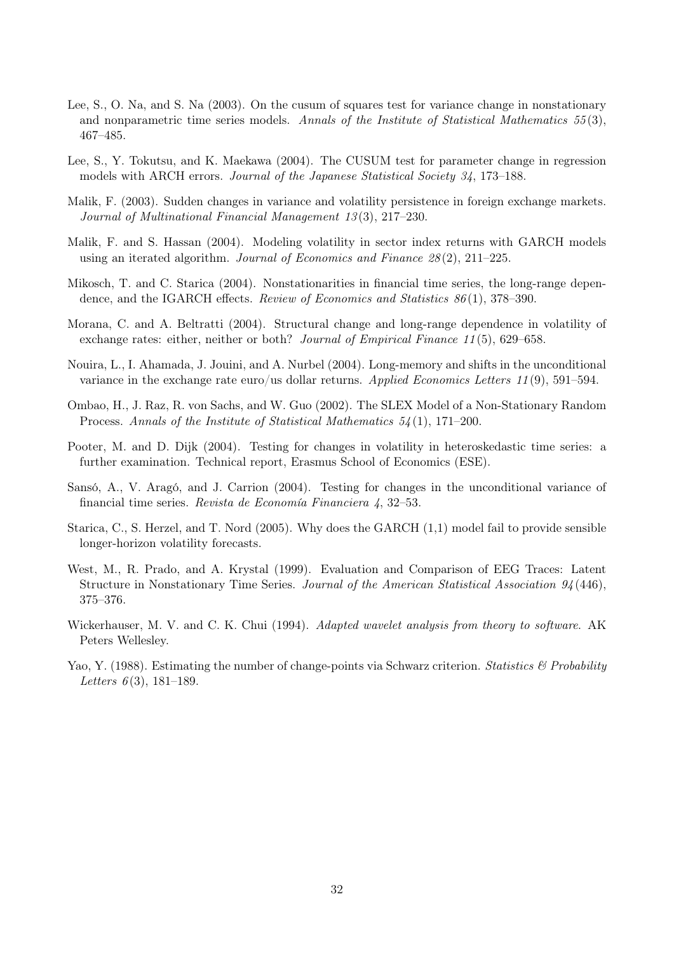- Lee, S., O. Na, and S. Na (2003). On the cusum of squares test for variance change in nonstationary and nonparametric time series models. *Annals of the Institute of Statistical Mathematics 55* (3), 467–485.
- Lee, S., Y. Tokutsu, and K. Maekawa (2004). The CUSUM test for parameter change in regression models with ARCH errors. *Journal of the Japanese Statistical Society 34*, 173–188.
- Malik, F. (2003). Sudden changes in variance and volatility persistence in foreign exchange markets. *Journal of Multinational Financial Management 13* (3), 217–230.
- Malik, F. and S. Hassan (2004). Modeling volatility in sector index returns with GARCH models using an iterated algorithm. *Journal of Economics and Finance 28* (2), 211–225.
- Mikosch, T. and C. Starica (2004). Nonstationarities in financial time series, the long-range dependence, and the IGARCH effects. *Review of Economics and Statistics 86* (1), 378–390.
- Morana, C. and A. Beltratti (2004). Structural change and long-range dependence in volatility of exchange rates: either, neither or both? *Journal of Empirical Finance 11* (5), 629–658.
- Nouira, L., I. Ahamada, J. Jouini, and A. Nurbel (2004). Long-memory and shifts in the unconditional variance in the exchange rate euro/us dollar returns. *Applied Economics Letters 11* (9), 591–594.
- Ombao, H., J. Raz, R. von Sachs, and W. Guo (2002). The SLEX Model of a Non-Stationary Random Process. *Annals of the Institute of Statistical Mathematics 54* (1), 171–200.
- Pooter, M. and D. Dijk (2004). Testing for changes in volatility in heteroskedastic time series: a further examination. Technical report, Erasmus School of Economics (ESE).
- Sansó, A., V. Aragó, and J. Carrion (2004). Testing for changes in the unconditional variance of financial time series. *Revista de Economía Financiera 4*, 32–53.
- Starica, C., S. Herzel, and T. Nord (2005). Why does the GARCH (1,1) model fail to provide sensible longer-horizon volatility forecasts.
- West, M., R. Prado, and A. Krystal (1999). Evaluation and Comparison of EEG Traces: Latent Structure in Nonstationary Time Series. *Journal of the American Statistical Association 94* (446), 375–376.
- Wickerhauser, M. V. and C. K. Chui (1994). *Adapted wavelet analysis from theory to software*. AK Peters Wellesley.
- Yao, Y. (1988). Estimating the number of change-points via Schwarz criterion. *Statistics & Probability Letters 6* (3), 181–189.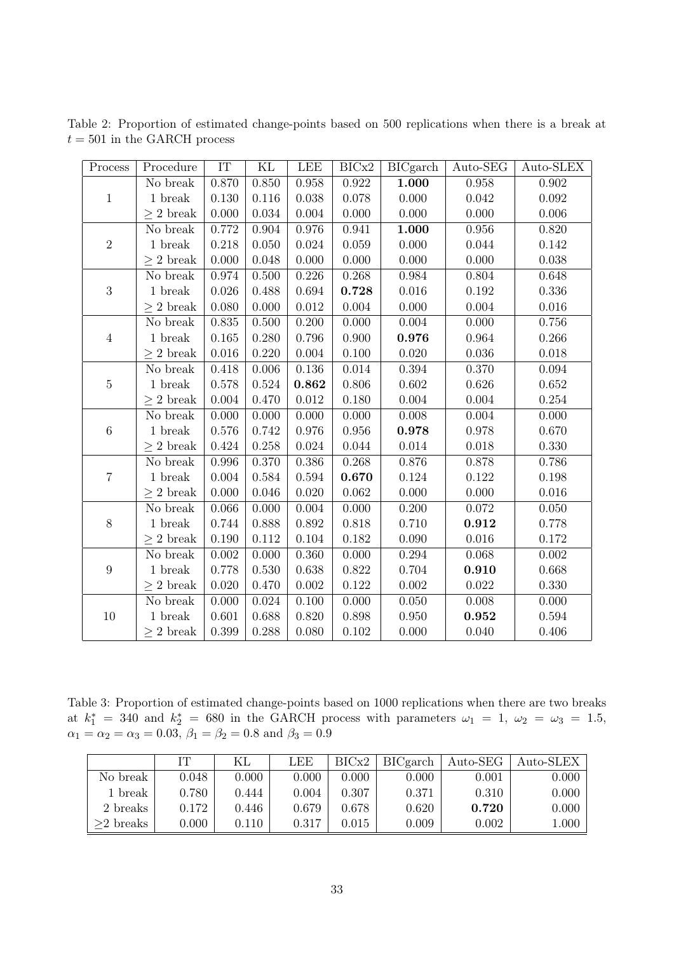| Process          | Procedure                           | IT    | ΚL    | LEE       | BICx2 | <b>BICgarch</b> | Auto-SEG  | Auto-SLEX   |
|------------------|-------------------------------------|-------|-------|-----------|-------|-----------------|-----------|-------------|
|                  | No break                            | 0.870 | 0.850 | 0.958     | 0.922 | 1.000           | 0.958     | 0.902       |
| $1\,$            | 1 break                             | 0.130 | 0.116 | 0.038     | 0.078 | 0.000           | 0.042     | $0.092\,$   |
|                  | $> 2$ break                         | 0.000 | 0.034 | 0.004     | 0.000 | 0.000           | 0.000     | 0.006       |
|                  | No break                            | 0.772 | 0.904 | 0.976     | 0.941 | 1.000           | 0.956     | 0.820       |
| $\overline{2}$   | 1 break                             | 0.218 | 0.050 | 0.024     | 0.059 | 0.000           | 0.044     | 0.142       |
|                  | $> 2$ break                         | 0.000 | 0.048 | 0.000     | 0.000 | 0.000           | 0.000     | 0.038       |
|                  | No break                            | 0.974 | 0.500 | 0.226     | 0.268 | 0.984           | 0.804     | 0.648       |
| $\sqrt{3}$       | $1\,\,{\rm break}$                  | 0.026 | 0.488 | 0.694     | 0.728 | 0.016           | 0.192     | $0.336\,$   |
|                  | $\geq 2$ break                      | 0.080 | 0.000 | $0.012\,$ | 0.004 | 0.000           | 0.004     | $0.016\,$   |
|                  | No break                            | 0.835 | 0.500 | 0.200     | 0.000 | 0.004           | 0.000     | 0.756       |
| $\overline{4}$   | 1 break                             | 0.165 | 0.280 | 0.796     | 0.900 | 0.976           | 0.964     | 0.266       |
|                  | $\geq 2$ break                      | 0.016 | 0.220 | $0.004\,$ | 0.100 | 0.020           | 0.036     | $0.018\,$   |
|                  | No break                            | 0.418 | 0.006 | 0.136     | 0.014 | 0.394           | 0.370     | 0.094       |
| $\bf 5$          | 1 break                             | 0.578 | 0.524 | 0.862     | 0.806 | 0.602           | 0.626     | 0.652       |
|                  | $\geq 2$ break                      | 0.004 | 0.470 | $0.012\,$ | 0.180 | 0.004           | 0.004     | 0.254       |
|                  | No break                            | 0.000 | 0.000 | 0.000     | 0.000 | 0.008           | 0.004     | 0.000       |
| $\,6\,$          | 1 break                             | 0.576 | 0.742 | 0.976     | 0.956 | 0.978           | 0.978     | 0.670       |
|                  | $> 2$ break                         | 0.424 | 0.258 | 0.024     | 0.044 | 0.014           | 0.018     | 0.330       |
|                  | No break                            | 0.996 | 0.370 | 0.386     | 0.268 | 0.876           | 0.878     | 0.786       |
| $\overline{7}$   | 1 break                             | 0.004 | 0.584 | 0.594     | 0.670 | 0.124           | 0.122     | 0.198       |
|                  | $\geq 2$ break                      | 0.000 | 0.046 | 0.020     | 0.062 | 0.000           | 0.000     | 0.016       |
|                  | No break                            | 0.066 | 0.000 | 0.004     | 0.000 | 0.200           | $0.072\,$ | 0.050       |
| $8\,$            | 1 break                             | 0.744 | 0.888 | 0.892     | 0.818 | 0.710           | 0.912     | 0.778       |
|                  | $\geq 2$ break                      | 0.190 | 0.112 | 0.104     | 0.182 | 0.090           | 0.016     | 0.172       |
| $\boldsymbol{9}$ | No break                            | 0.002 | 0.000 | 0.360     | 0.000 | 0.294           | 0.068     | $0.002\,$   |
|                  | 1 break                             | 0.778 | 0.530 | 0.638     | 0.822 | 0.704           | 0.910     | 0.668       |
|                  | $\geq 2$ break                      | 0.020 | 0.470 | 0.002     | 0.122 | 0.002           | $0.022\,$ | 0.330       |
|                  | No break                            | 0.000 | 0.024 | 0.100     | 0.000 | 0.050           | 0.008     | 0.000       |
| $10\,$           | $1\,\ensuremath{\, \mathrm{break}}$ | 0.601 | 0.688 | 0.820     | 0.898 | 0.950           | 0.952     | $\,0.594\,$ |
|                  | $> 2$ break                         | 0.399 | 0.288 | 0.080     | 0.102 | 0.000           | 0.040     | 0.406       |

Table 2: Proportion of estimated change-points based on 500 replications when there is a break at  $t = 501$  in the GARCH process

Table 3: Proportion of estimated change-points based on 1000 replications when there are two breaks at  $k_1^* = 340$  and  $k_2^* = 680$  in the GARCH process with parameters  $\omega_1 = 1, \omega_2 = \omega_3 = 1.5$ ,  $\alpha_1 = \alpha_2 = \alpha_3 = 0.03, \,\beta_1 = \beta_2 = 0.8 \text{ and } \beta_3 = 0.9$ 

|             | IТ    | КL    | LEE   | BICx2     | <b>BICgarch</b> | $Auto-SEG$ | Auto-SLEX |
|-------------|-------|-------|-------|-----------|-----------------|------------|-----------|
| No break    | 0.048 | 0.000 | 0.000 | 0.000     | 0.000           | 0.001      | 0.000     |
| 1 break     | 0.780 | 0.444 | 0.004 | 0.307     | 0.371           | 0.310      | 0.000     |
| 2 breaks    | 0.172 | 0.446 | 0.679 | 0.678     | 0.620           | 0.720      | 0.000     |
| $>2$ breaks | 0.000 | 0.110 | 0.317 | $0.015\,$ | 0.009           | 0.002      | 1.000     |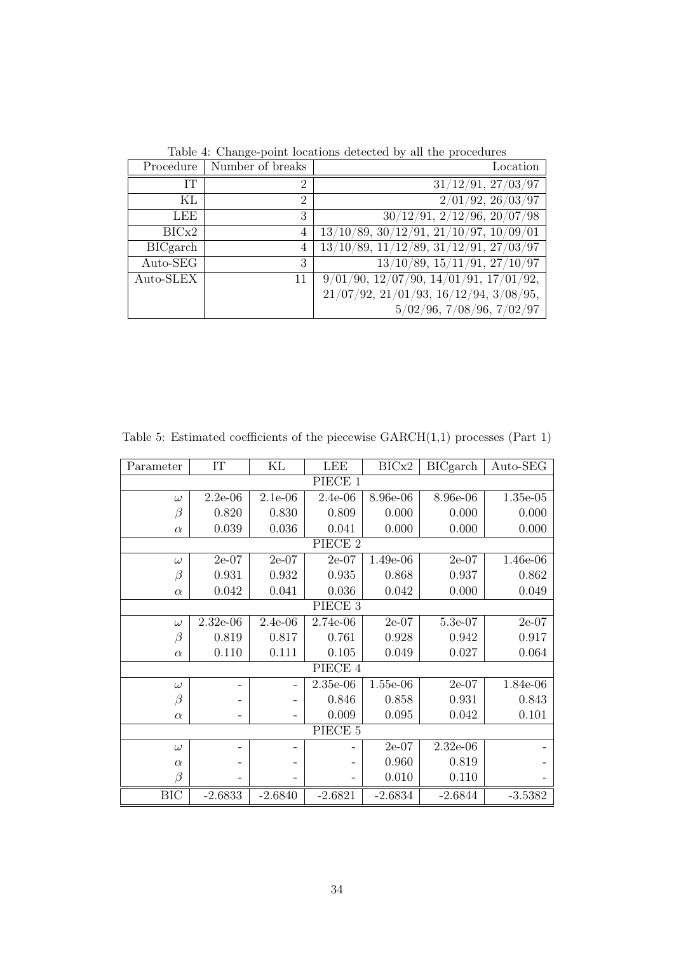Table 4: Change-point locations detected by all the procedures

| Procedure       | Number of breaks | Location                                                    |
|-----------------|------------------|-------------------------------------------------------------|
| IТ              | 2                | 31/12/91, 27/03/97                                          |
| ΚL              | $\overline{2}$   | 2/01/92, 26/03/97                                           |
| LEE             | 3                | 30/12/91, 2/12/96, 20/07/98                                 |
| BICx2           | 4                | $13/10/89$ , $30/12/91$ , $21/10/97$ , $10\overline{09/01}$ |
| <b>BICgarch</b> | 4                | $13/10/89$ , $11/12/89$ , $31/12/91$ , $27/03/97$           |
| Auto-SEG        | 3                | $13/10/89$ , $15/11/91$ , $27/10/97$                        |
| Auto-SLEX       | 11               | $9/01/90$ , $12/07/90$ , $14/01/91$ , $17/01/92$ ,          |
|                 |                  | $21/07/92, 21/01/93, 16/12/94, 3/08/95,$                    |
|                 |                  | 5/02/96, 7/08/96, 7/02/97                                   |

| Parameter  | $\cal IT$  | KL                | <b>LEE</b>         | BICx2      | <b>BICgarch</b> | Auto-SEG   |  |
|------------|------------|-------------------|--------------------|------------|-----------------|------------|--|
| PIECE 1    |            |                   |                    |            |                 |            |  |
| $\omega$   | $2.2e-06$  | $2.1e-06$         | $2.4e-06$          | 8.96e-06   | 8.96e-06        | $1.35e-05$ |  |
| $\beta$    | $0.820\,$  | 0.830             | 0.809              | 0.000      | 0.000           | 0.000      |  |
| $\alpha$   | 0.039      | 0.036             | 0.041              | 0.000      | 0.000           | 0.000      |  |
|            |            |                   | PIECE <sub>2</sub> |            |                 |            |  |
| $\omega$   | $2e-07$    | $2e-07$           | $2e-07$            | 1.49e-06   | $2e-07$         | 1.46e-06   |  |
| $\beta$    | 0.931      | 0.932             | 0.935              | 0.868      | 0.937           | 0.862      |  |
| $\alpha$   | 0.042      | 0.041             | 0.036              | 0.042      | 0.000           | 0.049      |  |
|            |            |                   | PIECE 3            |            |                 |            |  |
| $\omega$   | $2.32e-06$ | $2.4e-06$         | 2.74e-06           | $2e-07$    | 5.3e-07         | $2e-07$    |  |
| $\beta$    | 0.819      | 0.817             | 0.761              | 0.928      | 0.942           | 0.917      |  |
| $\alpha$   | 0.110      | 0.111             | 0.105              | 0.049      | 0.027           | 0.064      |  |
|            | PIECE 4    |                   |                    |            |                 |            |  |
| $\omega$   |            | -                 | $2.35e-06$         | $1.55e-06$ | $2e-07$         | 1.84e-06   |  |
| $\beta$    |            |                   | 0.846              | 0.858      | 0.931           | 0.843      |  |
| $\alpha$   |            | $\qquad \qquad -$ | 0.009              | 0.095      | 0.042           | 0.101      |  |
| PIECE 5    |            |                   |                    |            |                 |            |  |
| $\omega$   |            | -                 |                    | $2e-07$    | $2.32e-06$      |            |  |
| $\alpha$   |            |                   |                    | 0.960      | 0.819           |            |  |
| $\beta$    |            |                   |                    | 0.010      | 0.110           |            |  |
| <b>BIC</b> | $-2.6833$  | $-2.6840$         | $-2.6821$          | $-2.6834$  | $-2.6844$       | $-3.5382$  |  |

Table 5: Estimated coefficients of the piecewise  $\text{GARCH}(1,1)$  processes (Part 1)